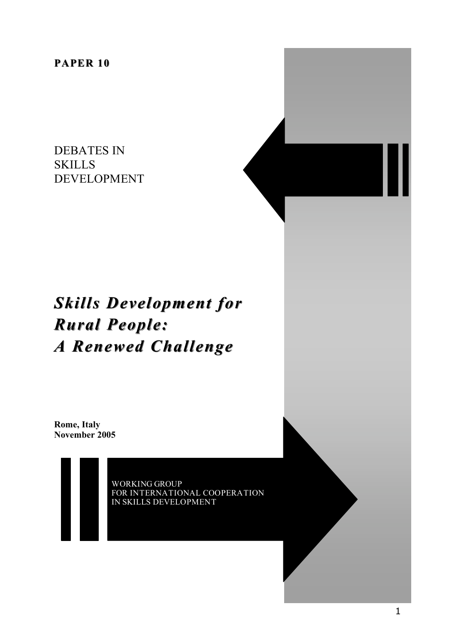**PAPER 10**

DEBATES IN **SKILLS** DEVELOPMENT

# *Skills Development for Rural People: A Renewed Challenge*

**Rome, Italy November 2005**

> WORKING GROUP FOR INTERNATIONAL COOPERATION IN SKILLS DEVELOPMENT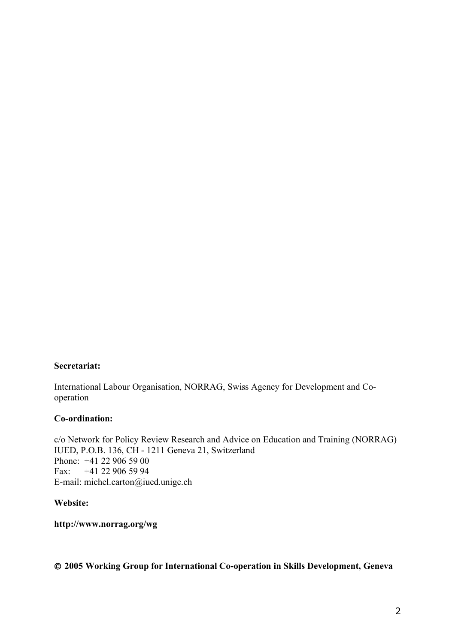#### **Secretariat:**

International Labour Organisation, NORRAG, Swiss Agency for Development and Cooperation

#### **Co-ordination:**

c/o Network for Policy Review Research and Advice on Education and Training (NORRAG) IUED, P.O.B. 136, CH - 1211 Geneva 21, Switzerland Phone: +41 22 906 59 00 Fax: +41 22 906 59 94 E-mail: michel.carton@iued.unige.ch

#### **Website:**

**http://www.norrag.org/wg**

#### **2005 Working Group for International Co-operation in Skills Development, Geneva**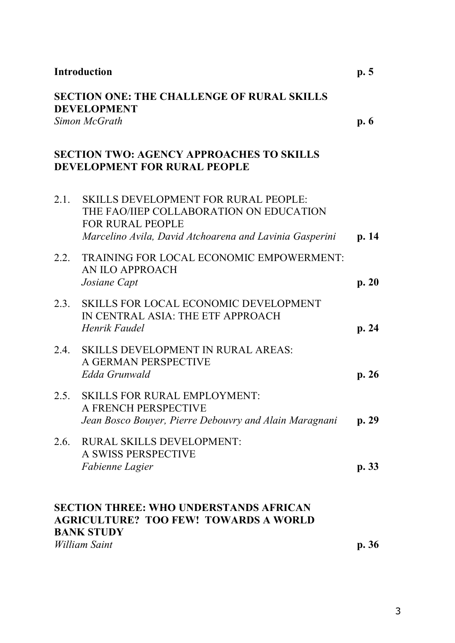| <b>Introduction</b><br><b>SECTION ONE: THE CHALLENGE OF RURAL SKILLS</b><br><b>DEVELOPMENT</b><br>Simon McGrath |                                                                                                                                                                              | p.5<br>p.6 |
|-----------------------------------------------------------------------------------------------------------------|------------------------------------------------------------------------------------------------------------------------------------------------------------------------------|------------|
|                                                                                                                 |                                                                                                                                                                              |            |
| 2.1                                                                                                             | <b>SKILLS DEVELOPMENT FOR RURAL PEOPLE:</b><br>THE FAO/IIEP COLLABORATION ON EDUCATION<br><b>FOR RURAL PEOPLE</b><br>Marcelino Avila, David Atchoarena and Lavinia Gasperini | p. 14      |
| 2.2.                                                                                                            | TRAINING FOR LOCAL ECONOMIC EMPOWERMENT:<br>AN ILO APPROACH<br>Josiane Capt                                                                                                  | p. 20      |
| 2.3.                                                                                                            | <b>SKILLS FOR LOCAL ECONOMIC DEVELOPMENT</b><br>IN CENTRAL ASIA: THE ETF APPROACH<br>Henrik Faudel                                                                           | p. 24      |
| 2.4.                                                                                                            | <b>SKILLS DEVELOPMENT IN RURAL AREAS:</b><br>A GERMAN PERSPECTIVE<br>Edda Grunwald                                                                                           | p.26       |
| 2.5.                                                                                                            | <b>SKILLS FOR RURAL EMPLOYMENT:</b><br>A FRENCH PERSPECTIVE<br>Jean Bosco Bouyer, Pierre Debouvry and Alain Maragnani                                                        | p. 29      |
| 2.6.                                                                                                            | <b>RURAL SKILLS DEVELOPMENT:</b><br>A SWISS PERSPECTIVE<br>Fabienne Lagier                                                                                                   | p.33       |
|                                                                                                                 | <b>SECTION THREE: WHO UNDERSTANDS AFRICAN</b><br><b>AGRICULTURE? TOO FEW! TOWARDS A WORLD</b><br><b>BANK STUDY</b><br>William Saint                                          | p.36       |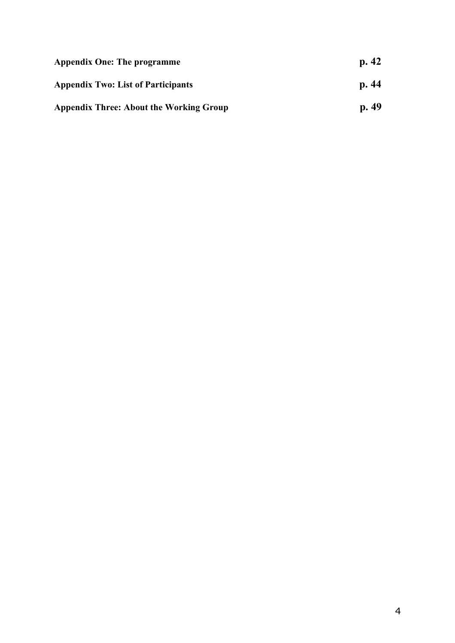| <b>Appendix One: The programme</b>             | p.42 |
|------------------------------------------------|------|
| <b>Appendix Two: List of Participants</b>      | p.44 |
| <b>Appendix Three: About the Working Group</b> | p.49 |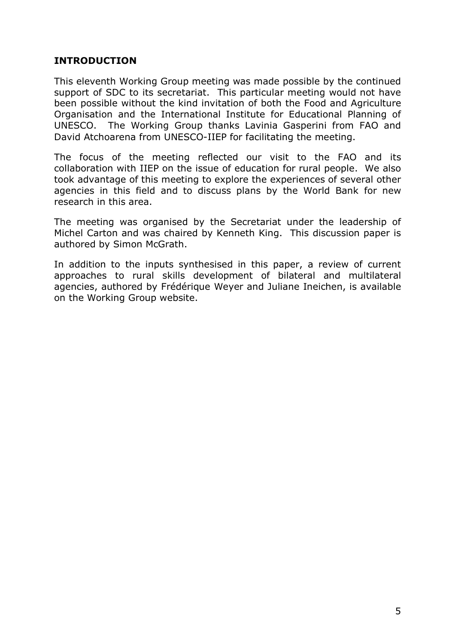# **INTRODUCTION**

This eleventh Working Group meeting was made possible by the continued support of SDC to its secretariat. This particular meeting would not have been possible without the kind invitation of both the Food and Agriculture Organisation and the International Institute for Educational Planning of UNESCO. The Working Group thanks Lavinia Gasperini from FAO and David Atchoarena from UNESCO-IIEP for facilitating the meeting.

The focus of the meeting reflected our visit to the FAO and its collaboration with IIEP on the issue of education for rural people. We also took advantage of this meeting to explore the experiences of several other agencies in this field and to discuss plans by the World Bank for new research in this area.

The meeting was organised by the Secretariat under the leadership of Michel Carton and was chaired by Kenneth King. This discussion paper is authored by Simon McGrath.

In addition to the inputs synthesised in this paper, a review of current approaches to rural skills development of bilateral and multilateral agencies, authored by Frédérique Weyer and Juliane Ineichen, is available on the Working Group website.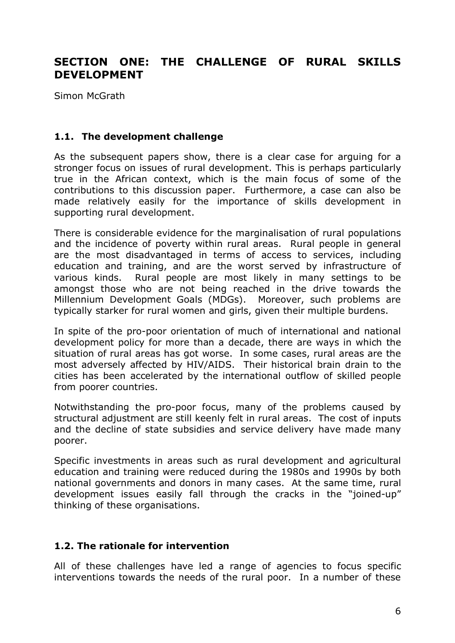# **SECTION ONE: THE CHALLENGE OF RURAL SKILLS DEVELOPMENT**

Simon McGrath

#### **1.1. The development challenge**

As the subsequent papers show, there is a clear case for arguing for a stronger focus on issues of rural development. This is perhaps particularly true in the African context, which is the main focus of some of the contributions to this discussion paper. Furthermore, a case can also be made relatively easily for the importance of skills development in supporting rural development.

There is considerable evidence for the marginalisation of rural populations and the incidence of poverty within rural areas. Rural people in general are the most disadvantaged in terms of access to services, including education and training, and are the worst served by infrastructure of various kinds. Rural people are most likely in many settings to be amongst those who are not being reached in the drive towards the Millennium Development Goals (MDGs). Moreover, such problems are typically starker for rural women and girls, given their multiple burdens.

In spite of the pro-poor orientation of much of international and national development policy for more than a decade, there are ways in which the situation of rural areas has got worse. In some cases, rural areas are the most adversely affected by HIV/AIDS. Their historical brain drain to the cities has been accelerated by the international outflow of skilled people from poorer countries.

Notwithstanding the pro-poor focus, many of the problems caused by structural adjustment are still keenly felt in rural areas. The cost of inputs and the decline of state subsidies and service delivery have made many poorer.

Specific investments in areas such as rural development and agricultural education and training were reduced during the 1980s and 1990s by both national governments and donors in many cases. At the same time, rural development issues easily fall through the cracks in the "joined-up" thinking of these organisations.

#### **1.2. The rationale for intervention**

All of these challenges have led a range of agencies to focus specific interventions towards the needs of the rural poor. In a number of these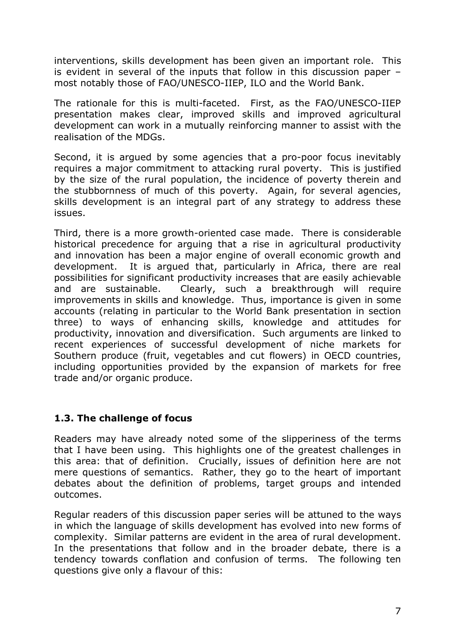interventions, skills development has been given an important role. This is evident in several of the inputs that follow in this discussion paper – most notably those of FAO/UNESCO-IIEP, ILO and the World Bank.

The rationale for this is multi-faceted. First, as the FAO/UNESCO-IIEP presentation makes clear, improved skills and improved agricultural development can work in a mutually reinforcing manner to assist with the realisation of the MDGs.

Second, it is argued by some agencies that a pro-poor focus inevitably requires a major commitment to attacking rural poverty. This is justified by the size of the rural population, the incidence of poverty therein and the stubbornness of much of this poverty. Again, for several agencies, skills development is an integral part of any strategy to address these issues.

Third, there is a more growth-oriented case made. There is considerable historical precedence for arguing that a rise in agricultural productivity and innovation has been a major engine of overall economic growth and development. It is argued that, particularly in Africa, there are real possibilities for significant productivity increases that are easily achievable and are sustainable. Clearly, such a breakthrough will require improvements in skills and knowledge. Thus, importance is given in some accounts (relating in particular to the World Bank presentation in section three) to ways of enhancing skills, knowledge and attitudes for productivity, innovation and diversification. Such arguments are linked to recent experiences of successful development of niche markets for Southern produce (fruit, vegetables and cut flowers) in OECD countries, including opportunities provided by the expansion of markets for free trade and/or organic produce.

# **1.3. The challenge of focus**

Readers may have already noted some of the slipperiness of the terms that I have been using. This highlights one of the greatest challenges in this area: that of definition. Crucially, issues of definition here are not mere questions of semantics. Rather, they go to the heart of important debates about the definition of problems, target groups and intended outcomes.

Regular readers of this discussion paper series will be attuned to the ways in which the language of skills development has evolved into new forms of complexity. Similar patterns are evident in the area of rural development. In the presentations that follow and in the broader debate, there is a tendency towards conflation and confusion of terms. The following ten questions give only a flavour of this: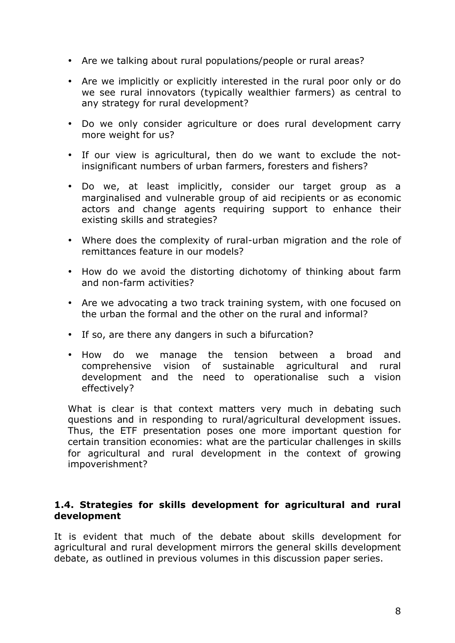- Are we talking about rural populations/people or rural areas?
- Are we implicitly or explicitly interested in the rural poor only or do we see rural innovators (typically wealthier farmers) as central to any strategy for rural development?
- Do we only consider agriculture or does rural development carry more weight for us?
- If our view is agricultural, then do we want to exclude the notinsignificant numbers of urban farmers, foresters and fishers?
- Do we, at least implicitly, consider our target group as a marginalised and vulnerable group of aid recipients or as economic actors and change agents requiring support to enhance their existing skills and strategies?
- Where does the complexity of rural-urban migration and the role of remittances feature in our models?
- How do we avoid the distorting dichotomy of thinking about farm and non-farm activities?
- Are we advocating a two track training system, with one focused on the urban the formal and the other on the rural and informal?
- If so, are there any dangers in such a bifurcation?
- How do we manage the tension between a broad and comprehensive vision of sustainable agricultural and rural development and the need to operationalise such a vision effectively?

What is clear is that context matters very much in debating such questions and in responding to rural/agricultural development issues. Thus, the ETF presentation poses one more important question for certain transition economies: what are the particular challenges in skills for agricultural and rural development in the context of growing impoverishment?

### **1.4. Strategies for skills development for agricultural and rural development**

It is evident that much of the debate about skills development for agricultural and rural development mirrors the general skills development debate, as outlined in previous volumes in this discussion paper series.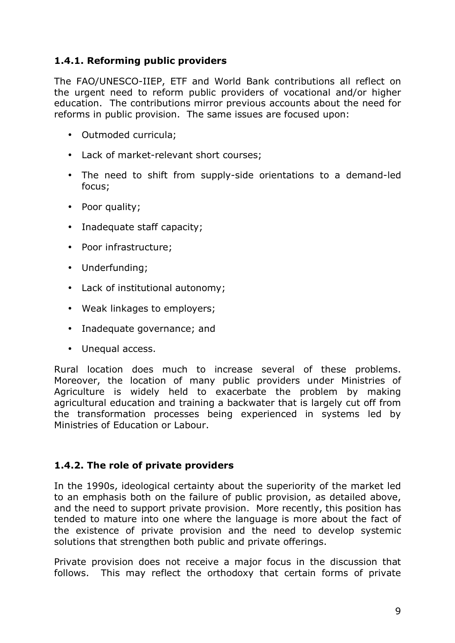# **1.4.1. Reforming public providers**

The FAO/UNESCO-IIEP, ETF and World Bank contributions all reflect on the urgent need to reform public providers of vocational and/or higher education. The contributions mirror previous accounts about the need for reforms in public provision. The same issues are focused upon:

- Outmoded curricula;
- Lack of market-relevant short courses;
- The need to shift from supply-side orientations to a demand-led focus;
- Poor quality;
- Inadequate staff capacity;
- Poor infrastructure;
- Underfunding;
- Lack of institutional autonomy;
- Weak linkages to employers;
- Inadequate governance; and
- Unequal access.

Rural location does much to increase several of these problems. Moreover, the location of many public providers under Ministries of Agriculture is widely held to exacerbate the problem by making agricultural education and training a backwater that is largely cut off from the transformation processes being experienced in systems led by Ministries of Education or Labour.

#### **1.4.2. The role of private providers**

In the 1990s, ideological certainty about the superiority of the market led to an emphasis both on the failure of public provision, as detailed above, and the need to support private provision. More recently, this position has tended to mature into one where the language is more about the fact of the existence of private provision and the need to develop systemic solutions that strengthen both public and private offerings.

Private provision does not receive a major focus in the discussion that follows. This may reflect the orthodoxy that certain forms of private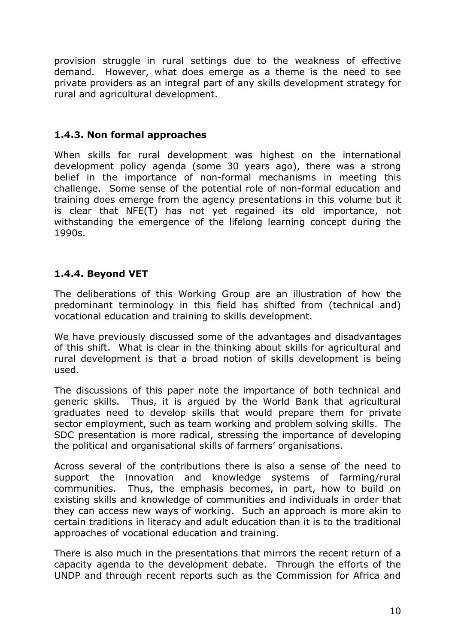provision struggle in rural settings due to the weakness of effective demand. However, what does emerge as a theme is the need to see private providers as an integral part of any skills development strategy for rural and agricultural development.

# **1.4.3. Non formal approaches**

When skills for rural development was highest on the international development policy agenda (some 30 years ago), there was a strong belief in the importance of non-formal mechanisms in meeting this challenge. Some sense of the potential role of non-formal education and training does emerge from the agency presentations in this volume but it is clear that NFE(T) has not yet regained its old importance, not withstanding the emergence of the lifelong learning concept during the 1990s.

# **1.4.4. Beyond VET**

The deliberations of this Working Group are an illustration of how the predominant terminology in this field has shifted from (technical and) vocational education and training to skills development.

We have previously discussed some of the advantages and disadvantages of this shift. What is clear in the thinking about skills for agricultural and rural development is that a broad notion of skills development is being used.

The discussions of this paper note the importance of both technical and generic skills. Thus, it is argued by the World Bank that agricultural graduates need to develop skills that would prepare them for private sector employment, such as team working and problem solving skills. The SDC presentation is more radical, stressing the importance of developing the political and organisational skills of farmers' organisations.

Across several of the contributions there is also a sense of the need to support the innovation and knowledge systems of farming/rural communities. Thus, the emphasis becomes, in part, how to build on existing skills and knowledge of communities and individuals in order that they can access new ways of working. Such an approach is more akin to certain traditions in literacy and adult education than it is to the traditional approaches of vocational education and training.

There is also much in the presentations that mirrors the recent return of a capacity agenda to the development debate. Through the efforts of the UNDP and through recent reports such as the Commission for Africa and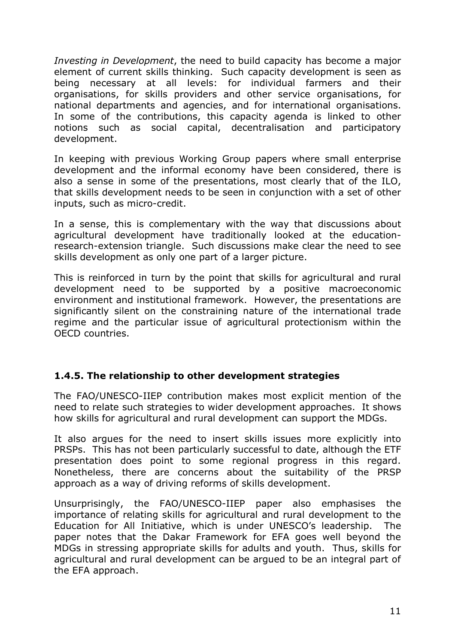*Investing in Development*, the need to build capacity has become a major element of current skills thinking. Such capacity development is seen as being necessary at all levels: for individual farmers and their organisations, for skills providers and other service organisations, for national departments and agencies, and for international organisations. In some of the contributions, this capacity agenda is linked to other notions such as social capital, decentralisation and participatory development.

In keeping with previous Working Group papers where small enterprise development and the informal economy have been considered, there is also a sense in some of the presentations, most clearly that of the ILO, that skills development needs to be seen in conjunction with a set of other inputs, such as micro-credit.

In a sense, this is complementary with the way that discussions about agricultural development have traditionally looked at the educationresearch-extension triangle. Such discussions make clear the need to see skills development as only one part of a larger picture.

This is reinforced in turn by the point that skills for agricultural and rural development need to be supported by a positive macroeconomic environment and institutional framework. However, the presentations are significantly silent on the constraining nature of the international trade regime and the particular issue of agricultural protectionism within the OECD countries.

# **1.4.5. The relationship to other development strategies**

The FAO/UNESCO-IIEP contribution makes most explicit mention of the need to relate such strategies to wider development approaches. It shows how skills for agricultural and rural development can support the MDGs.

It also argues for the need to insert skills issues more explicitly into PRSPs. This has not been particularly successful to date, although the ETF presentation does point to some regional progress in this regard. Nonetheless, there are concerns about the suitability of the PRSP approach as a way of driving reforms of skills development.

Unsurprisingly, the FAO/UNESCO-IIEP paper also emphasises the importance of relating skills for agricultural and rural development to the Education for All Initiative, which is under UNESCO's leadership. The paper notes that the Dakar Framework for EFA goes well beyond the MDGs in stressing appropriate skills for adults and youth. Thus, skills for agricultural and rural development can be argued to be an integral part of the EFA approach.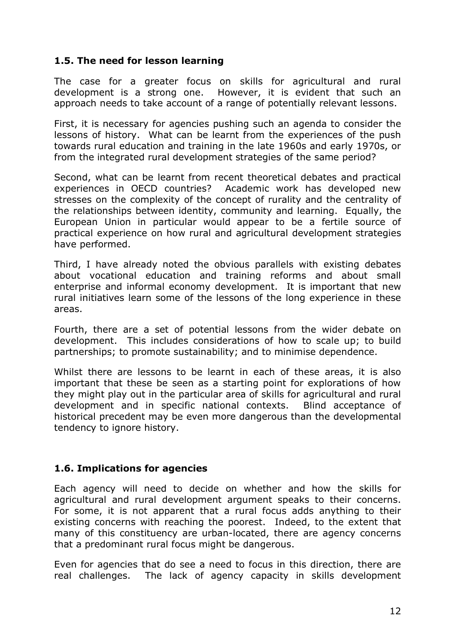# **1.5. The need for lesson learning**

The case for a greater focus on skills for agricultural and rural development is a strong one. However, it is evident that such an approach needs to take account of a range of potentially relevant lessons.

First, it is necessary for agencies pushing such an agenda to consider the lessons of history. What can be learnt from the experiences of the push towards rural education and training in the late 1960s and early 1970s, or from the integrated rural development strategies of the same period?

Second, what can be learnt from recent theoretical debates and practical experiences in OECD countries? Academic work has developed new stresses on the complexity of the concept of rurality and the centrality of the relationships between identity, community and learning. Equally, the European Union in particular would appear to be a fertile source of practical experience on how rural and agricultural development strategies have performed.

Third, I have already noted the obvious parallels with existing debates about vocational education and training reforms and about small enterprise and informal economy development. It is important that new rural initiatives learn some of the lessons of the long experience in these areas.

Fourth, there are a set of potential lessons from the wider debate on development. This includes considerations of how to scale up; to build partnerships; to promote sustainability; and to minimise dependence.

Whilst there are lessons to be learnt in each of these areas, it is also important that these be seen as a starting point for explorations of how they might play out in the particular area of skills for agricultural and rural development and in specific national contexts. Blind acceptance of historical precedent may be even more dangerous than the developmental tendency to ignore history.

# **1.6. Implications for agencies**

Each agency will need to decide on whether and how the skills for agricultural and rural development argument speaks to their concerns. For some, it is not apparent that a rural focus adds anything to their existing concerns with reaching the poorest. Indeed, to the extent that many of this constituency are urban-located, there are agency concerns that a predominant rural focus might be dangerous.

Even for agencies that do see a need to focus in this direction, there are real challenges. The lack of agency capacity in skills development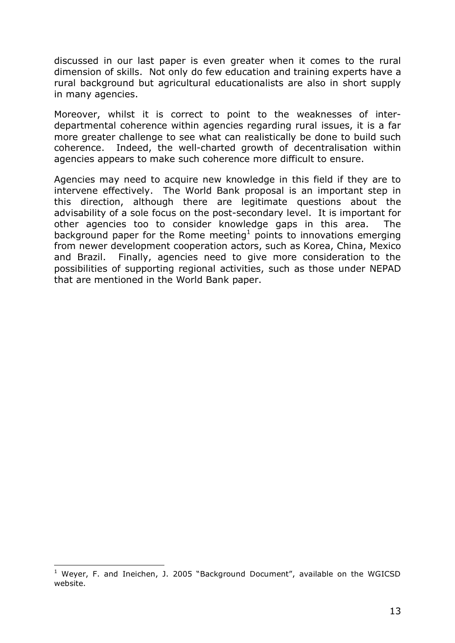discussed in our last paper is even greater when it comes to the rural dimension of skills. Not only do few education and training experts have a rural background but agricultural educationalists are also in short supply in many agencies.

Moreover, whilst it is correct to point to the weaknesses of interdepartmental coherence within agencies regarding rural issues, it is a far more greater challenge to see what can realistically be done to build such coherence. Indeed, the well-charted growth of decentralisation within agencies appears to make such coherence more difficult to ensure.

Agencies may need to acquire new knowledge in this field if they are to intervene effectively. The World Bank proposal is an important step in this direction, although there are legitimate questions about the advisability of a sole focus on the post-secondary level. It is important for other agencies too to consider knowledge gaps in this area. The background paper for the Rome meeting<sup>1</sup> points to innovations emerging from newer development cooperation actors, such as Korea, China, Mexico and Brazil. Finally, agencies need to give more consideration to the possibilities of supporting regional activities, such as those under NEPAD that are mentioned in the World Bank paper.

 $\overline{a}$ 

 $1$  Weyer, F. and Ineichen, J. 2005 "Background Document", available on the WGICSD website.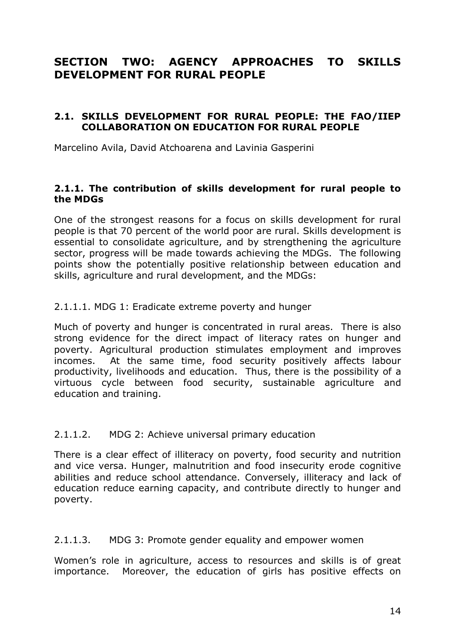# **SECTION TWO: AGENCY APPROACHES TO SKILLS DEVELOPMENT FOR RURAL PEOPLE**

#### **2.1. SKILLS DEVELOPMENT FOR RURAL PEOPLE: THE FAO/IIEP COLLABORATION ON EDUCATION FOR RURAL PEOPLE**

Marcelino Avila, David Atchoarena and Lavinia Gasperini

#### **2.1.1. The contribution of skills development for rural people to the MDGs**

One of the strongest reasons for a focus on skills development for rural people is that 70 percent of the world poor are rural. Skills development is essential to consolidate agriculture, and by strengthening the agriculture sector, progress will be made towards achieving the MDGs. The following points show the potentially positive relationship between education and skills, agriculture and rural development, and the MDGs:

#### 2.1.1.1. MDG 1: Eradicate extreme poverty and hunger

Much of poverty and hunger is concentrated in rural areas. There is also strong evidence for the direct impact of literacy rates on hunger and poverty. Agricultural production stimulates employment and improves incomes. At the same time, food security positively affects labour productivity, livelihoods and education. Thus, there is the possibility of a virtuous cycle between food security, sustainable agriculture and education and training.

#### 2.1.1.2. MDG 2: Achieve universal primary education

There is a clear effect of illiteracy on poverty, food security and nutrition and vice versa. Hunger, malnutrition and food insecurity erode cognitive abilities and reduce school attendance. Conversely, illiteracy and lack of education reduce earning capacity, and contribute directly to hunger and poverty.

#### 2.1.1.3. MDG 3: Promote gender equality and empower women

Women's role in agriculture, access to resources and skills is of great importance. Moreover, the education of girls has positive effects on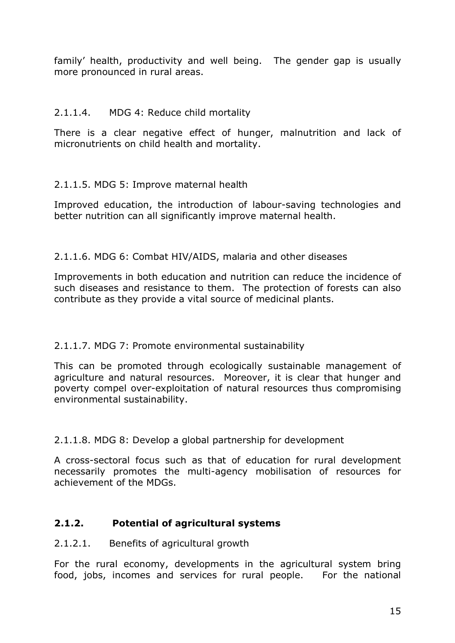family' health, productivity and well being. The gender gap is usually more pronounced in rural areas.

# 2.1.1.4. MDG 4: Reduce child mortality

There is a clear negative effect of hunger, malnutrition and lack of micronutrients on child health and mortality.

# 2.1.1.5. MDG 5: Improve maternal health

Improved education, the introduction of labour-saving technologies and better nutrition can all significantly improve maternal health.

2.1.1.6. MDG 6: Combat HIV/AIDS, malaria and other diseases

Improvements in both education and nutrition can reduce the incidence of such diseases and resistance to them. The protection of forests can also contribute as they provide a vital source of medicinal plants.

# 2.1.1.7. MDG 7: Promote environmental sustainability

This can be promoted through ecologically sustainable management of agriculture and natural resources. Moreover, it is clear that hunger and poverty compel over-exploitation of natural resources thus compromising environmental sustainability.

2.1.1.8. MDG 8: Develop a global partnership for development

A cross-sectoral focus such as that of education for rural development necessarily promotes the multi-agency mobilisation of resources for achievement of the MDGs.

# **2.1.2. Potential of agricultural systems**

#### 2.1.2.1. Benefits of agricultural growth

For the rural economy, developments in the agricultural system bring food, jobs, incomes and services for rural people. For the national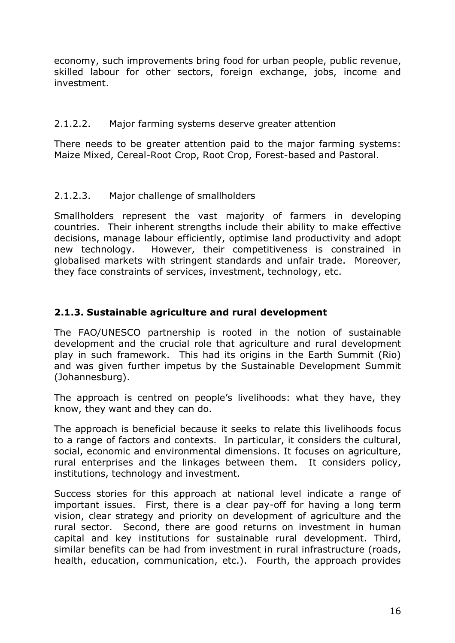economy, such improvements bring food for urban people, public revenue, skilled labour for other sectors, foreign exchange, jobs, income and investment.

### 2.1.2.2. Major farming systems deserve greater attention

There needs to be greater attention paid to the major farming systems: Maize Mixed, Cereal-Root Crop, Root Crop, Forest-based and Pastoral.

# 2.1.2.3. Major challenge of smallholders

Smallholders represent the vast majority of farmers in developing countries. Their inherent strengths include their ability to make effective decisions, manage labour efficiently, optimise land productivity and adopt new technology. However, their competitiveness is constrained in globalised markets with stringent standards and unfair trade. Moreover, they face constraints of services, investment, technology, etc.

# **2.1.3. Sustainable agriculture and rural development**

The FAO/UNESCO partnership is rooted in the notion of sustainable development and the crucial role that agriculture and rural development play in such framework. This had its origins in the Earth Summit (Rio) and was given further impetus by the Sustainable Development Summit (Johannesburg).

The approach is centred on people's livelihoods: what they have, they know, they want and they can do.

The approach is beneficial because it seeks to relate this livelihoods focus to a range of factors and contexts. In particular, it considers the cultural, social, economic and environmental dimensions. It focuses on agriculture, rural enterprises and the linkages between them. It considers policy, institutions, technology and investment.

Success stories for this approach at national level indicate a range of important issues. First, there is a clear pay-off for having a long term vision, clear strategy and priority on development of agriculture and the rural sector. Second, there are good returns on investment in human capital and key institutions for sustainable rural development. Third, similar benefits can be had from investment in rural infrastructure (roads, health, education, communication, etc.). Fourth, the approach provides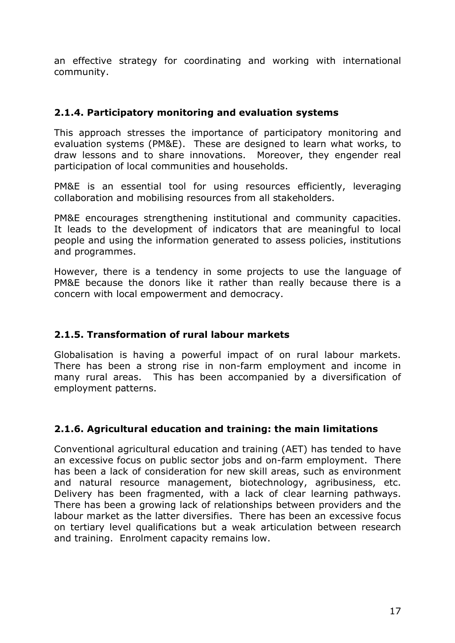an effective strategy for coordinating and working with international community.

# **2.1.4. Participatory monitoring and evaluation systems**

This approach stresses the importance of participatory monitoring and evaluation systems (PM&E). These are designed to learn what works, to draw lessons and to share innovations. Moreover, they engender real participation of local communities and households.

PM&E is an essential tool for using resources efficiently, leveraging collaboration and mobilising resources from all stakeholders.

PM&E encourages strengthening institutional and community capacities. It leads to the development of indicators that are meaningful to local people and using the information generated to assess policies, institutions and programmes.

However, there is a tendency in some projects to use the language of PM&E because the donors like it rather than really because there is a concern with local empowerment and democracy.

# **2.1.5. Transformation of rural labour markets**

Globalisation is having a powerful impact of on rural labour markets. There has been a strong rise in non-farm employment and income in many rural areas. This has been accompanied by a diversification of employment patterns.

# **2.1.6. Agricultural education and training: the main limitations**

Conventional agricultural education and training (AET) has tended to have an excessive focus on public sector jobs and on-farm employment. There has been a lack of consideration for new skill areas, such as environment and natural resource management, biotechnology, agribusiness, etc. Delivery has been fragmented, with a lack of clear learning pathways. There has been a growing lack of relationships between providers and the labour market as the latter diversifies. There has been an excessive focus on tertiary level qualifications but a weak articulation between research and training. Enrolment capacity remains low.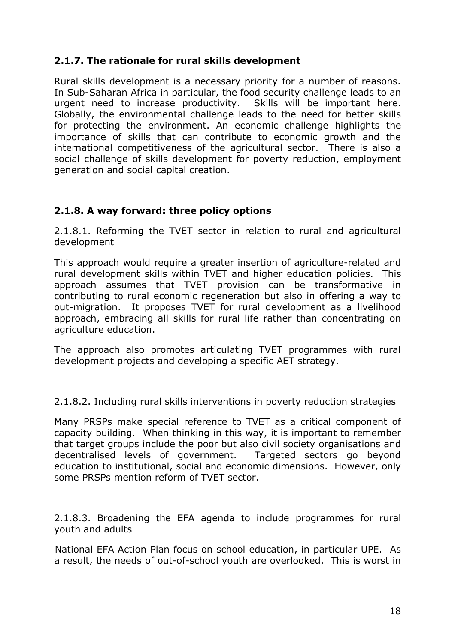# **2.1.7. The rationale for rural skills development**

Rural skills development is a necessary priority for a number of reasons. In Sub-Saharan Africa in particular, the food security challenge leads to an urgent need to increase productivity. Skills will be important here. Globally, the environmental challenge leads to the need for better skills for protecting the environment. An economic challenge highlights the importance of skills that can contribute to economic growth and the international competitiveness of the agricultural sector. There is also a social challenge of skills development for poverty reduction, employment generation and social capital creation.

# **2.1.8. A way forward: three policy options**

2.1.8.1. Reforming the TVET sector in relation to rural and agricultural development

This approach would require a greater insertion of agriculture-related and rural development skills within TVET and higher education policies. This approach assumes that TVET provision can be transformative in contributing to rural economic regeneration but also in offering a way to out-migration. It proposes TVET for rural development as a livelihood approach, embracing all skills for rural life rather than concentrating on agriculture education.

The approach also promotes articulating TVET programmes with rural development projects and developing a specific AET strategy.

2.1.8.2. Including rural skills interventions in poverty reduction strategies

Many PRSPs make special reference to TVET as a critical component of capacity building. When thinking in this way, it is important to remember that target groups include the poor but also civil society organisations and decentralised levels of government. Targeted sectors go beyond education to institutional, social and economic dimensions. However, only some PRSPs mention reform of TVET sector.

2.1.8.3. Broadening the EFA agenda to include programmes for rural youth and adults

National EFA Action Plan focus on school education, in particular UPE. As a result, the needs of out-of-school youth are overlooked. This is worst in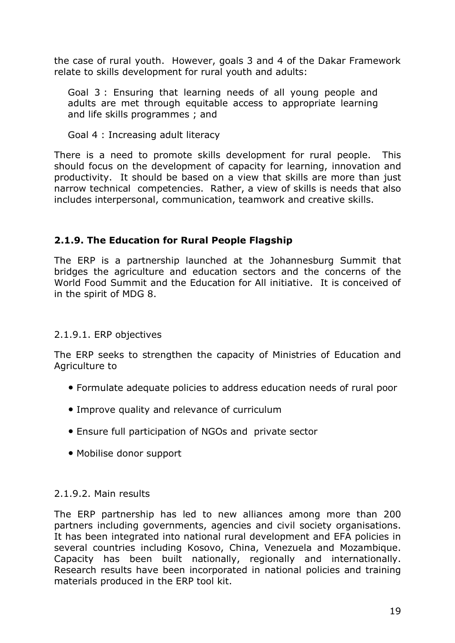the case of rural youth. However, goals 3 and 4 of the Dakar Framework relate to skills development for rural youth and adults:

Goal 3 : Ensuring that learning needs of all young people and adults are met through equitable access to appropriate learning and life skills programmes ; and

Goal 4 : Increasing adult literacy

There is a need to promote skills development for rural people. This should focus on the development of capacity for learning, innovation and productivity. It should be based on a view that skills are more than just narrow technical competencies. Rather, a view of skills is needs that also includes interpersonal, communication, teamwork and creative skills.

# **2.1.9. The Education for Rural People Flagship**

The ERP is a partnership launched at the Johannesburg Summit that bridges the agriculture and education sectors and the concerns of the World Food Summit and the Education for All initiative. It is conceived of in the spirit of MDG 8.

#### 2.1.9.1. ERP objectives

The ERP seeks to strengthen the capacity of Ministries of Education and Agriculture to

- Formulate adequate policies to address education needs of rural poor
- Improve quality and relevance of curriculum
- Ensure full participation of NGOs and private sector
- Mobilise donor support

#### 2.1.9.2. Main results

The ERP partnership has led to new alliances among more than 200 partners including governments, agencies and civil society organisations. It has been integrated into national rural development and EFA policies in several countries including Kosovo, China, Venezuela and Mozambique. Capacity has been built nationally, regionally and internationally. Research results have been incorporated in national policies and training materials produced in the ERP tool kit.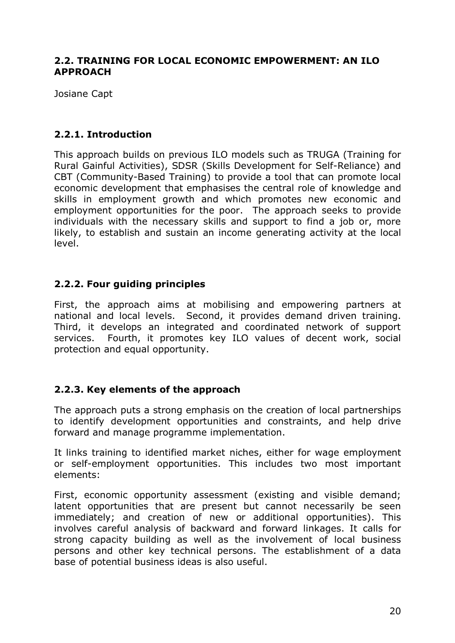### **2.2. TRAINING FOR LOCAL ECONOMIC EMPOWERMENT: AN ILO APPROACH**

Josiane Capt

# **2.2.1. Introduction**

This approach builds on previous ILO models such as TRUGA (Training for Rural Gainful Activities), SDSR (Skills Development for Self-Reliance) and CBT (Community-Based Training) to provide a tool that can promote local economic development that emphasises the central role of knowledge and skills in employment growth and which promotes new economic and employment opportunities for the poor. The approach seeks to provide individuals with the necessary skills and support to find a job or, more likely, to establish and sustain an income generating activity at the local level.

# **2.2.2. Four guiding principles**

First, the approach aims at mobilising and empowering partners at national and local levels. Second, it provides demand driven training. Third, it develops an integrated and coordinated network of support services. Fourth, it promotes key ILO values of decent work, social protection and equal opportunity.

# **2.2.3. Key elements of the approach**

The approach puts a strong emphasis on the creation of local partnerships to identify development opportunities and constraints, and help drive forward and manage programme implementation.

It links training to identified market niches, either for wage employment or self-employment opportunities. This includes two most important elements:

First, economic opportunity assessment (existing and visible demand; latent opportunities that are present but cannot necessarily be seen immediately; and creation of new or additional opportunities). This involves careful analysis of backward and forward linkages. It calls for strong capacity building as well as the involvement of local business persons and other key technical persons. The establishment of a data base of potential business ideas is also useful.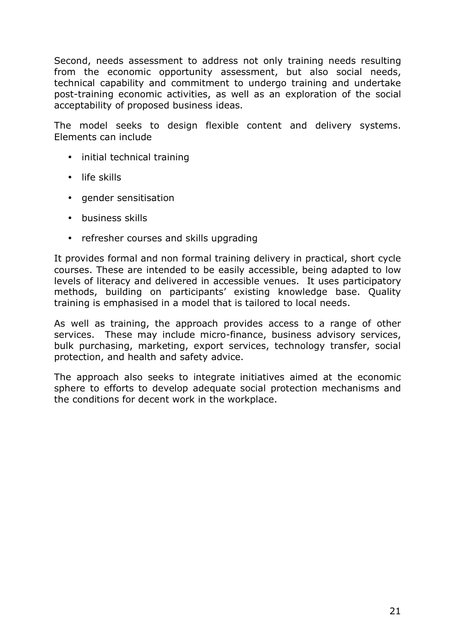Second, needs assessment to address not only training needs resulting from the economic opportunity assessment, but also social needs, technical capability and commitment to undergo training and undertake post-training economic activities, as well as an exploration of the social acceptability of proposed business ideas.

The model seeks to design flexible content and delivery systems. Elements can include

- initial technical training
- life skills
- gender sensitisation
- business skills
- refresher courses and skills upgrading

It provides formal and non formal training delivery in practical, short cycle courses. These are intended to be easily accessible, being adapted to low levels of literacy and delivered in accessible venues. It uses participatory methods, building on participants' existing knowledge base. Quality training is emphasised in a model that is tailored to local needs.

As well as training, the approach provides access to a range of other services. These may include micro-finance, business advisory services, bulk purchasing, marketing, export services, technology transfer, social protection, and health and safety advice.

The approach also seeks to integrate initiatives aimed at the economic sphere to efforts to develop adequate social protection mechanisms and the conditions for decent work in the workplace.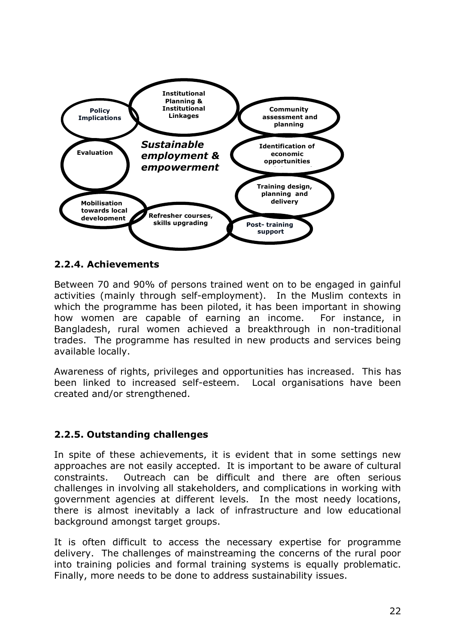

### **2.2.4. Achievements**

Between 70 and 90% of persons trained went on to be engaged in gainful activities (mainly through self-employment). In the Muslim contexts in which the programme has been piloted, it has been important in showing how women are capable of earning an income. For instance, in Bangladesh, rural women achieved a breakthrough in non-traditional trades. The programme has resulted in new products and services being available locally.

Awareness of rights, privileges and opportunities has increased. This has been linked to increased self-esteem. Local organisations have been created and/or strengthened.

#### **2.2.5. Outstanding challenges**

In spite of these achievements, it is evident that in some settings new approaches are not easily accepted. It is important to be aware of cultural constraints. Outreach can be difficult and there are often serious challenges in involving all stakeholders, and complications in working with government agencies at different levels. In the most needy locations, there is almost inevitably a lack of infrastructure and low educational background amongst target groups.

It is often difficult to access the necessary expertise for programme delivery. The challenges of mainstreaming the concerns of the rural poor into training policies and formal training systems is equally problematic. Finally, more needs to be done to address sustainability issues.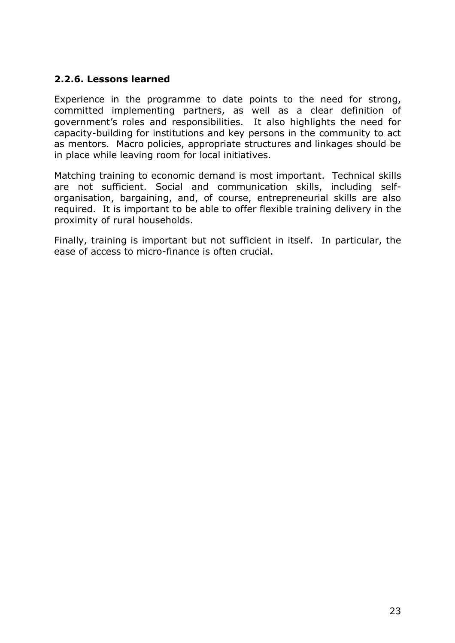# **2.2.6. Lessons learned**

Experience in the programme to date points to the need for strong, committed implementing partners, as well as a clear definition of government's roles and responsibilities. It also highlights the need for capacity-building for institutions and key persons in the community to act as mentors. Macro policies, appropriate structures and linkages should be in place while leaving room for local initiatives.

Matching training to economic demand is most important. Technical skills are not sufficient. Social and communication skills, including selforganisation, bargaining, and, of course, entrepreneurial skills are also required. It is important to be able to offer flexible training delivery in the proximity of rural households.

Finally, training is important but not sufficient in itself. In particular, the ease of access to micro-finance is often crucial.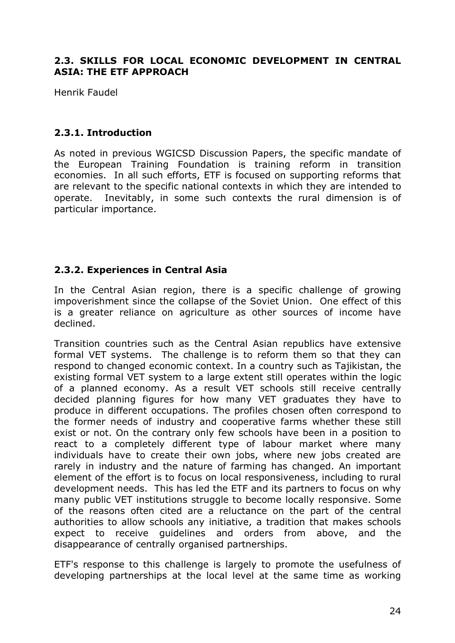### **2.3. SKILLS FOR LOCAL ECONOMIC DEVELOPMENT IN CENTRAL ASIA: THE ETF APPROACH**

Henrik Faudel

# **2.3.1. Introduction**

As noted in previous WGICSD Discussion Papers, the specific mandate of the European Training Foundation is training reform in transition economies. In all such efforts, ETF is focused on supporting reforms that are relevant to the specific national contexts in which they are intended to operate. Inevitably, in some such contexts the rural dimension is of particular importance.

# **2.3.2. Experiences in Central Asia**

In the Central Asian region, there is a specific challenge of growing impoverishment since the collapse of the Soviet Union. One effect of this is a greater reliance on agriculture as other sources of income have declined.

Transition countries such as the Central Asian republics have extensive formal VET systems. The challenge is to reform them so that they can respond to changed economic context. In a country such as Tajikistan, the existing formal VET system to a large extent still operates within the logic of a planned economy. As a result VET schools still receive centrally decided planning figures for how many VET graduates they have to produce in different occupations. The profiles chosen often correspond to the former needs of industry and cooperative farms whether these still exist or not. On the contrary only few schools have been in a position to react to a completely different type of labour market where many individuals have to create their own jobs, where new jobs created are rarely in industry and the nature of farming has changed. An important element of the effort is to focus on local responsiveness, including to rural development needs. This has led the ETF and its partners to focus on why many public VET institutions struggle to become locally responsive. Some of the reasons often cited are a reluctance on the part of the central authorities to allow schools any initiative, a tradition that makes schools expect to receive guidelines and orders from above, and the disappearance of centrally organised partnerships.

ETF's response to this challenge is largely to promote the usefulness of developing partnerships at the local level at the same time as working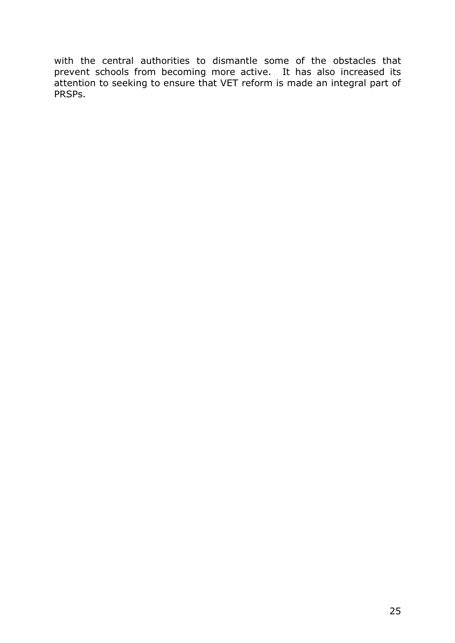with the central authorities to dismantle some of the obstacles that prevent schools from becoming more active. It has also increased its attention to seeking to ensure that VET reform is made an integral part of PRSPs.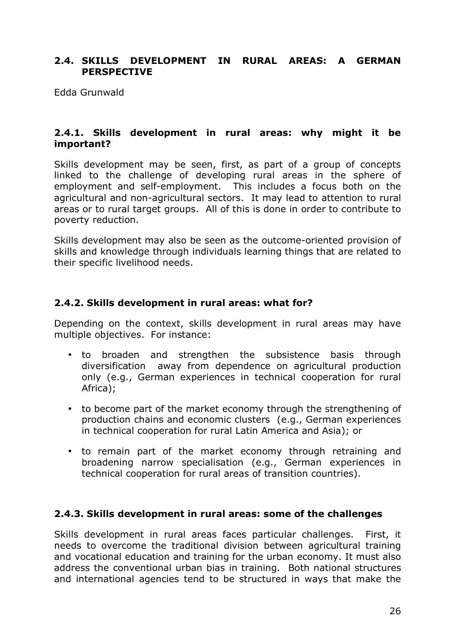# **2.4. SKILLS DEVELOPMENT IN RURAL AREAS: A GERMAN PERSPECTIVE**

Edda Grunwald

#### **2.4.1. Skills development in rural areas: why might it be important?**

Skills development may be seen, first, as part of a group of concepts linked to the challenge of developing rural areas in the sphere of employment and self-employment. This includes a focus both on the agricultural and non-agricultural sectors. It may lead to attention to rural areas or to rural target groups. All of this is done in order to contribute to poverty reduction.

Skills development may also be seen as the outcome-oriented provision of skills and knowledge through individuals learning things that are related to their specific livelihood needs.

### **2.4.2. Skills development in rural areas: what for?**

Depending on the context, skills development in rural areas may have multiple objectives. For instance:

- to broaden and strengthen the subsistence basis through diversification away from dependence on agricultural production only (e.g., German experiences in technical cooperation for rural Africa);
- to become part of the market economy through the strengthening of production chains and economic clusters (e.g., German experiences in technical cooperation for rural Latin America and Asia); or
- to remain part of the market economy through retraining and broadening narrow specialisation (e.g., German experiences in technical cooperation for rural areas of transition countries).

#### **2.4.3. Skills development in rural areas: some of the challenges**

Skills development in rural areas faces particular challenges. First, it needs to overcome the traditional division between agricultural training and vocational education and training for the urban economy. It must also address the conventional urban bias in training. Both national structures and international agencies tend to be structured in ways that make the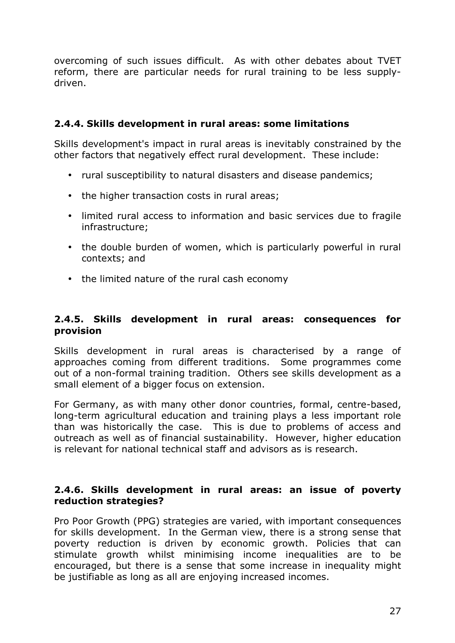overcoming of such issues difficult. As with other debates about TVET reform, there are particular needs for rural training to be less supplydriven.

# **2.4.4. Skills development in rural areas: some limitations**

Skills development's impact in rural areas is inevitably constrained by the other factors that negatively effect rural development. These include:

- rural susceptibility to natural disasters and disease pandemics;
- the higher transaction costs in rural areas;
- limited rural access to information and basic services due to fragile infrastructure;
- the double burden of women, which is particularly powerful in rural contexts; and
- the limited nature of the rural cash economy

### **2.4.5. Skills development in rural areas: consequences for provision**

Skills development in rural areas is characterised by a range of approaches coming from different traditions. Some programmes come out of a non-formal training tradition. Others see skills development as a small element of a bigger focus on extension.

For Germany, as with many other donor countries, formal, centre-based, long-term agricultural education and training plays a less important role than was historically the case. This is due to problems of access and outreach as well as of financial sustainability. However, higher education is relevant for national technical staff and advisors as is research.

# **2.4.6. Skills development in rural areas: an issue of poverty reduction strategies?**

Pro Poor Growth (PPG) strategies are varied, with important consequences for skills development. In the German view, there is a strong sense that poverty reduction is driven by economic growth. Policies that can stimulate growth whilst minimising income inequalities are to be encouraged, but there is a sense that some increase in inequality might be justifiable as long as all are enjoying increased incomes.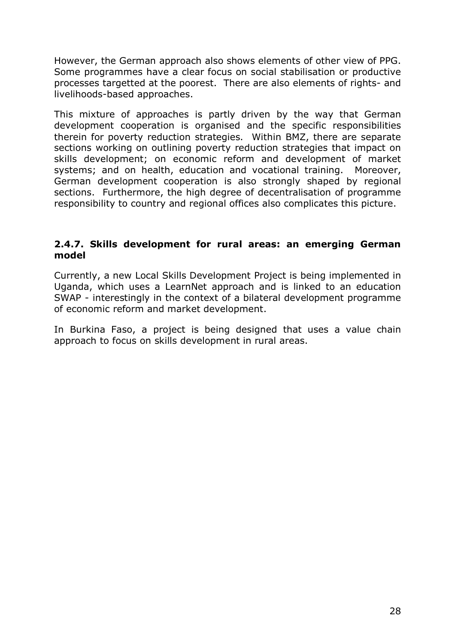However, the German approach also shows elements of other view of PPG. Some programmes have a clear focus on social stabilisation or productive processes targetted at the poorest. There are also elements of rights- and livelihoods-based approaches.

This mixture of approaches is partly driven by the way that German development cooperation is organised and the specific responsibilities therein for poverty reduction strategies. Within BMZ, there are separate sections working on outlining poverty reduction strategies that impact on skills development; on economic reform and development of market systems; and on health, education and vocational training. Moreover, German development cooperation is also strongly shaped by regional sections. Furthermore, the high degree of decentralisation of programme responsibility to country and regional offices also complicates this picture.

### **2.4.7. Skills development for rural areas: an emerging German model**

Currently, a new Local Skills Development Project is being implemented in Uganda, which uses a LearnNet approach and is linked to an education SWAP - interestingly in the context of a bilateral development programme of economic reform and market development.

In Burkina Faso, a project is being designed that uses a value chain approach to focus on skills development in rural areas.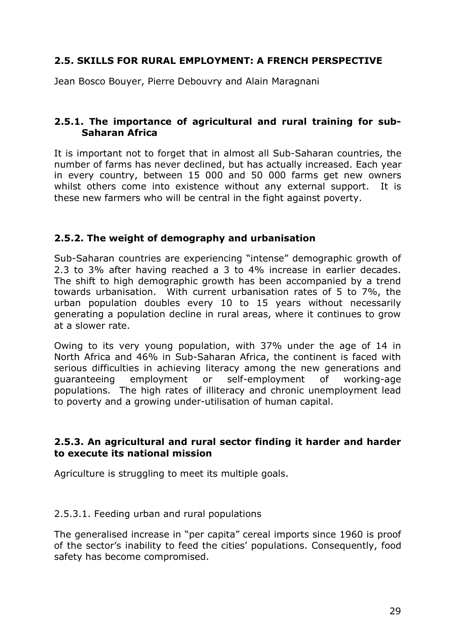# **2.5. SKILLS FOR RURAL EMPLOYMENT: A FRENCH PERSPECTIVE**

Jean Bosco Bouyer, Pierre Debouvry and Alain Maragnani

# **2.5.1. The importance of agricultural and rural training for sub-Saharan Africa**

It is important not to forget that in almost all Sub-Saharan countries, the number of farms has never declined, but has actually increased. Each year in every country, between 15 000 and 50 000 farms get new owners whilst others come into existence without any external support. It is these new farmers who will be central in the fight against poverty.

# **2.5.2. The weight of demography and urbanisation**

Sub-Saharan countries are experiencing "intense" demographic growth of 2.3 to 3% after having reached a 3 to 4% increase in earlier decades. The shift to high demographic growth has been accompanied by a trend towards urbanisation. With current urbanisation rates of 5 to 7%, the urban population doubles every 10 to 15 years without necessarily generating a population decline in rural areas, where it continues to grow at a slower rate.

Owing to its very young population, with 37% under the age of 14 in North Africa and 46% in Sub-Saharan Africa, the continent is faced with serious difficulties in achieving literacy among the new generations and guaranteeing employment or self-employment of working-age populations. The high rates of illiteracy and chronic unemployment lead to poverty and a growing under-utilisation of human capital.

#### **2.5.3. An agricultural and rural sector finding it harder and harder to execute its national mission**

Agriculture is struggling to meet its multiple goals.

#### 2.5.3.1. Feeding urban and rural populations

The generalised increase in "per capita" cereal imports since 1960 is proof of the sector's inability to feed the cities' populations. Consequently, food safety has become compromised.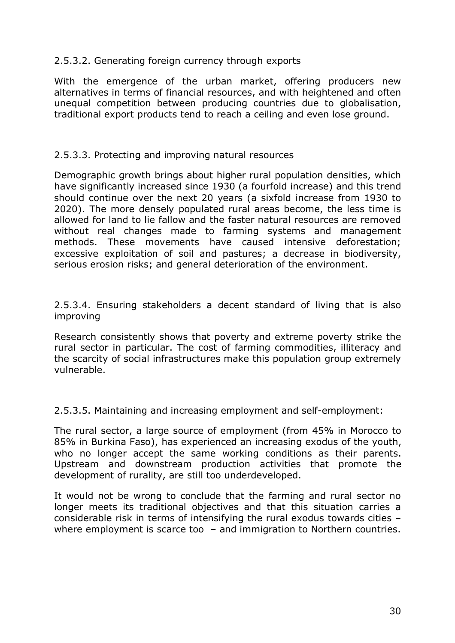### 2.5.3.2. Generating foreign currency through exports

With the emergence of the urban market, offering producers new alternatives in terms of financial resources, and with heightened and often unequal competition between producing countries due to globalisation, traditional export products tend to reach a ceiling and even lose ground.

#### 2.5.3.3. Protecting and improving natural resources

Demographic growth brings about higher rural population densities, which have significantly increased since 1930 (a fourfold increase) and this trend should continue over the next 20 years (a sixfold increase from 1930 to 2020). The more densely populated rural areas become, the less time is allowed for land to lie fallow and the faster natural resources are removed without real changes made to farming systems and management methods. These movements have caused intensive deforestation; excessive exploitation of soil and pastures; a decrease in biodiversity, serious erosion risks; and general deterioration of the environment.

2.5.3.4. Ensuring stakeholders a decent standard of living that is also improving

Research consistently shows that poverty and extreme poverty strike the rural sector in particular. The cost of farming commodities, illiteracy and the scarcity of social infrastructures make this population group extremely vulnerable.

2.5.3.5. Maintaining and increasing employment and self-employment:

The rural sector, a large source of employment (from 45% in Morocco to 85% in Burkina Faso), has experienced an increasing exodus of the youth, who no longer accept the same working conditions as their parents. Upstream and downstream production activities that promote the development of rurality, are still too underdeveloped.

It would not be wrong to conclude that the farming and rural sector no longer meets its traditional objectives and that this situation carries a considerable risk in terms of intensifying the rural exodus towards cities – where employment is scarce too – and immigration to Northern countries.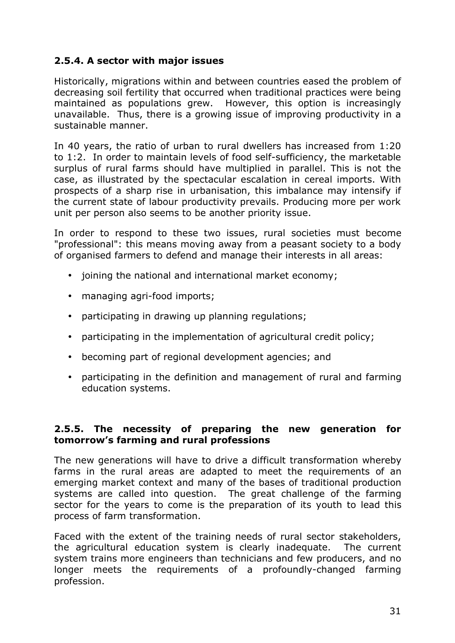# **2.5.4. A sector with major issues**

Historically, migrations within and between countries eased the problem of decreasing soil fertility that occurred when traditional practices were being maintained as populations grew. However, this option is increasingly unavailable. Thus, there is a growing issue of improving productivity in a sustainable manner.

In 40 years, the ratio of urban to rural dwellers has increased from 1:20 to 1:2. In order to maintain levels of food self-sufficiency, the marketable surplus of rural farms should have multiplied in parallel. This is not the case, as illustrated by the spectacular escalation in cereal imports. With prospects of a sharp rise in urbanisation, this imbalance may intensify if the current state of labour productivity prevails. Producing more per work unit per person also seems to be another priority issue.

In order to respond to these two issues, rural societies must become "professional": this means moving away from a peasant society to a body of organised farmers to defend and manage their interests in all areas:

- joining the national and international market economy;
- managing agri-food imports;
- participating in drawing up planning regulations;
- participating in the implementation of agricultural credit policy;
- becoming part of regional development agencies; and
- participating in the definition and management of rural and farming education systems.

#### **2.5.5. The necessity of preparing the new generation for tomorrow's farming and rural professions**

The new generations will have to drive a difficult transformation whereby farms in the rural areas are adapted to meet the requirements of an emerging market context and many of the bases of traditional production systems are called into question. The great challenge of the farming sector for the years to come is the preparation of its youth to lead this process of farm transformation.

Faced with the extent of the training needs of rural sector stakeholders, the agricultural education system is clearly inadequate. The current system trains more engineers than technicians and few producers, and no longer meets the requirements of a profoundly-changed farming profession.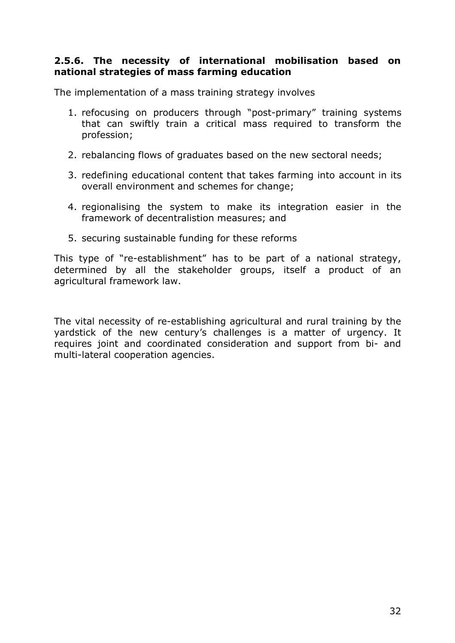### **2.5.6. The necessity of international mobilisation based on national strategies of mass farming education**

The implementation of a mass training strategy involves

- 1. refocusing on producers through "post-primary" training systems that can swiftly train a critical mass required to transform the profession;
- 2. rebalancing flows of graduates based on the new sectoral needs;
- 3. redefining educational content that takes farming into account in its overall environment and schemes for change;
- 4. regionalising the system to make its integration easier in the framework of decentralistion measures; and
- 5. securing sustainable funding for these reforms

This type of "re-establishment" has to be part of a national strategy, determined by all the stakeholder groups, itself a product of an agricultural framework law.

The vital necessity of re-establishing agricultural and rural training by the yardstick of the new century's challenges is a matter of urgency. It requires joint and coordinated consideration and support from bi- and multi-lateral cooperation agencies.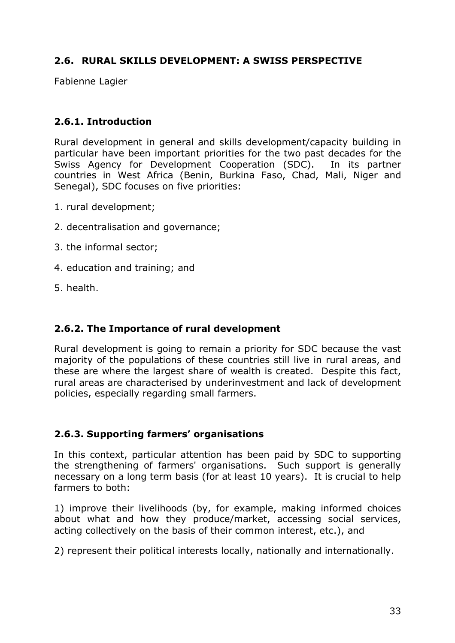# **2.6. RURAL SKILLS DEVELOPMENT: A SWISS PERSPECTIVE**

Fabienne Lagier

# **2.6.1. Introduction**

Rural development in general and skills development/capacity building in particular have been important priorities for the two past decades for the Swiss Agency for Development Cooperation (SDC). In its partner countries in West Africa (Benin, Burkina Faso, Chad, Mali, Niger and Senegal), SDC focuses on five priorities:

- 1. rural development;
- 2. decentralisation and governance;
- 3. the informal sector;
- 4. education and training; and
- 5. health.

# **2.6.2. The Importance of rural development**

Rural development is going to remain a priority for SDC because the vast majority of the populations of these countries still live in rural areas, and these are where the largest share of wealth is created. Despite this fact, rural areas are characterised by underinvestment and lack of development policies, especially regarding small farmers.

#### **2.6.3. Supporting farmers' organisations**

In this context, particular attention has been paid by SDC to supporting the strengthening of farmers' organisations. Such support is generally necessary on a long term basis (for at least 10 years). It is crucial to help farmers to both:

1) improve their livelihoods (by, for example, making informed choices about what and how they produce/market, accessing social services, acting collectively on the basis of their common interest, etc.), and

2) represent their political interests locally, nationally and internationally.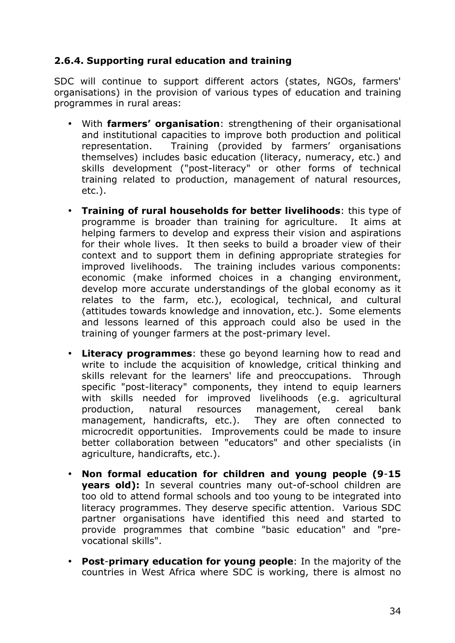# **2.6.4. Supporting rural education and training**

SDC will continue to support different actors (states, NGOs, farmers' organisations) in the provision of various types of education and training programmes in rural areas:

- With **farmers' organisation**: strengthening of their organisational and institutional capacities to improve both production and political representation. Training (provided by farmers' organisations themselves) includes basic education (literacy, numeracy, etc.) and skills development ("post-literacy" or other forms of technical training related to production, management of natural resources, etc.).
- **Training of rural households for better livelihoods**: this type of programme is broader than training for agriculture. It aims at helping farmers to develop and express their vision and aspirations for their whole lives. It then seeks to build a broader view of their context and to support them in defining appropriate strategies for improved livelihoods. The training includes various components: economic (make informed choices in a changing environment, develop more accurate understandings of the global economy as it relates to the farm, etc.), ecological, technical, and cultural (attitudes towards knowledge and innovation, etc.). Some elements and lessons learned of this approach could also be used in the training of younger farmers at the post-primary level.
- **Literacy programmes**: these go beyond learning how to read and write to include the acquisition of knowledge, critical thinking and skills relevant for the learners' life and preoccupations. Through specific "post-literacy" components, they intend to equip learners with skills needed for improved livelihoods (e.g. agricultural production, natural resources management, cereal bank management, handicrafts, etc.). They are often connected to microcredit opportunities. Improvements could be made to insure better collaboration between "educators" and other specialists (in agriculture, handicrafts, etc.).
- **Non formal education for children and young people (9**-**15 years old):** In several countries many out-of-school children are too old to attend formal schools and too young to be integrated into literacy programmes. They deserve specific attention. Various SDC partner organisations have identified this need and started to provide programmes that combine "basic education" and "prevocational skills".
- **Post**-**primary education for young people**: In the majority of the countries in West Africa where SDC is working, there is almost no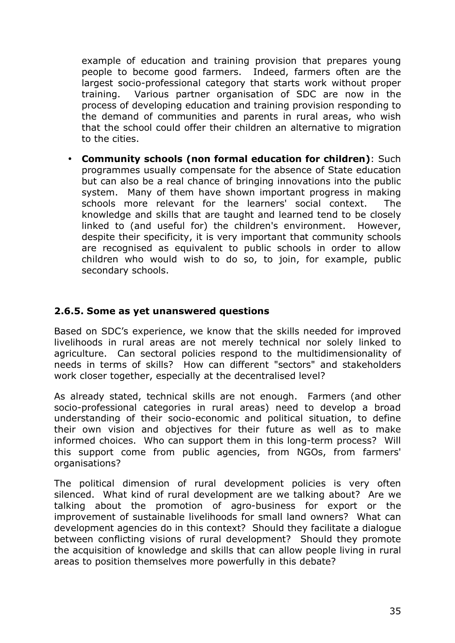example of education and training provision that prepares young people to become good farmers. Indeed, farmers often are the largest socio-professional category that starts work without proper training. Various partner organisation of SDC are now in the process of developing education and training provision responding to the demand of communities and parents in rural areas, who wish that the school could offer their children an alternative to migration to the cities.

• **Community schools (non formal education for children)**: Such programmes usually compensate for the absence of State education but can also be a real chance of bringing innovations into the public system. Many of them have shown important progress in making schools more relevant for the learners' social context. The knowledge and skills that are taught and learned tend to be closely linked to (and useful for) the children's environment. However, despite their specificity, it is very important that community schools are recognised as equivalent to public schools in order to allow children who would wish to do so, to join, for example, public secondary schools.

# **2.6.5. Some as yet unanswered questions**

Based on SDC's experience, we know that the skills needed for improved livelihoods in rural areas are not merely technical nor solely linked to agriculture. Can sectoral policies respond to the multidimensionality of needs in terms of skills? How can different "sectors" and stakeholders work closer together, especially at the decentralised level?

As already stated, technical skills are not enough. Farmers (and other socio-professional categories in rural areas) need to develop a broad understanding of their socio-economic and political situation, to define their own vision and objectives for their future as well as to make informed choices. Who can support them in this long-term process? Will this support come from public agencies, from NGOs, from farmers' organisations?

The political dimension of rural development policies is very often silenced. What kind of rural development are we talking about? Are we talking about the promotion of agro-business for export or the improvement of sustainable livelihoods for small land owners? What can development agencies do in this context? Should they facilitate a dialogue between conflicting visions of rural development? Should they promote the acquisition of knowledge and skills that can allow people living in rural areas to position themselves more powerfully in this debate?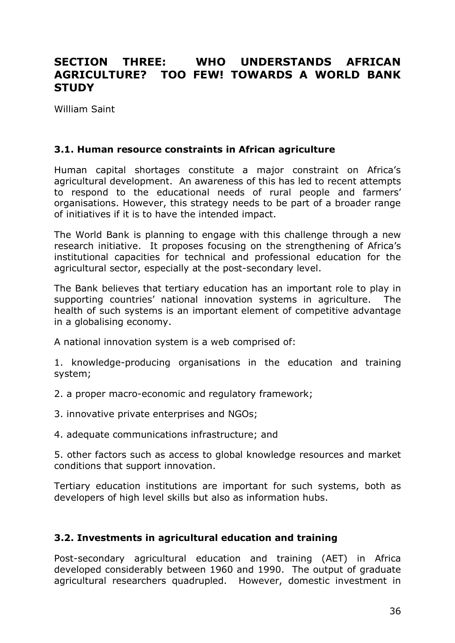# **SECTION THREE: WHO UNDERSTANDS AFRICAN AGRICULTURE? TOO FEW! TOWARDS A WORLD BANK STUDY**

William Saint

### **3.1. Human resource constraints in African agriculture**

Human capital shortages constitute a major constraint on Africa's agricultural development. An awareness of this has led to recent attempts to respond to the educational needs of rural people and farmers' organisations. However, this strategy needs to be part of a broader range of initiatives if it is to have the intended impact.

The World Bank is planning to engage with this challenge through a new research initiative. It proposes focusing on the strengthening of Africa's institutional capacities for technical and professional education for the agricultural sector, especially at the post-secondary level.

The Bank believes that tertiary education has an important role to play in supporting countries' national innovation systems in agriculture. The health of such systems is an important element of competitive advantage in a globalising economy.

A national innovation system is a web comprised of:

1. knowledge-producing organisations in the education and training system;

2. a proper macro-economic and regulatory framework;

- 3. innovative private enterprises and NGOs;
- 4. adequate communications infrastructure; and

5. other factors such as access to global knowledge resources and market conditions that support innovation.

Tertiary education institutions are important for such systems, both as developers of high level skills but also as information hubs.

# **3.2. Investments in agricultural education and training**

Post-secondary agricultural education and training (AET) in Africa developed considerably between 1960 and 1990. The output of graduate agricultural researchers quadrupled. However, domestic investment in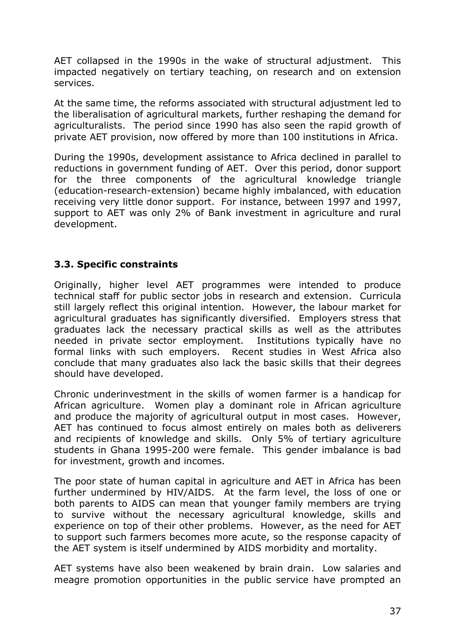AET collapsed in the 1990s in the wake of structural adjustment. This impacted negatively on tertiary teaching, on research and on extension services.

At the same time, the reforms associated with structural adjustment led to the liberalisation of agricultural markets, further reshaping the demand for agriculturalists. The period since 1990 has also seen the rapid growth of private AET provision, now offered by more than 100 institutions in Africa.

During the 1990s, development assistance to Africa declined in parallel to reductions in government funding of AET. Over this period, donor support for the three components of the agricultural knowledge triangle (education-research-extension) became highly imbalanced, with education receiving very little donor support. For instance, between 1997 and 1997, support to AET was only 2% of Bank investment in agriculture and rural development.

# **3.3. Specific constraints**

Originally, higher level AET programmes were intended to produce technical staff for public sector jobs in research and extension. Curricula still largely reflect this original intention. However, the labour market for agricultural graduates has significantly diversified. Employers stress that graduates lack the necessary practical skills as well as the attributes needed in private sector employment. Institutions typically have no formal links with such employers. Recent studies in West Africa also conclude that many graduates also lack the basic skills that their degrees should have developed.

Chronic underinvestment in the skills of women farmer is a handicap for African agriculture. Women play a dominant role in African agriculture and produce the majority of agricultural output in most cases. However, AET has continued to focus almost entirely on males both as deliverers and recipients of knowledge and skills. Only 5% of tertiary agriculture students in Ghana 1995-200 were female. This gender imbalance is bad for investment, growth and incomes.

The poor state of human capital in agriculture and AET in Africa has been further undermined by HIV/AIDS. At the farm level, the loss of one or both parents to AIDS can mean that younger family members are trying to survive without the necessary agricultural knowledge, skills and experience on top of their other problems. However, as the need for AET to support such farmers becomes more acute, so the response capacity of the AET system is itself undermined by AIDS morbidity and mortality.

AET systems have also been weakened by brain drain. Low salaries and meagre promotion opportunities in the public service have prompted an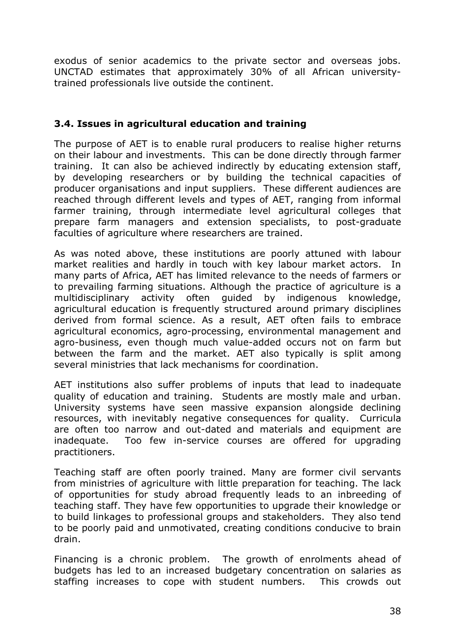exodus of senior academics to the private sector and overseas jobs. UNCTAD estimates that approximately 30% of all African universitytrained professionals live outside the continent.

# **3.4. Issues in agricultural education and training**

The purpose of AET is to enable rural producers to realise higher returns on their labour and investments. This can be done directly through farmer training. It can also be achieved indirectly by educating extension staff, by developing researchers or by building the technical capacities of producer organisations and input suppliers. These different audiences are reached through different levels and types of AET, ranging from informal farmer training, through intermediate level agricultural colleges that prepare farm managers and extension specialists, to post-graduate faculties of agriculture where researchers are trained.

As was noted above, these institutions are poorly attuned with labour market realities and hardly in touch with key labour market actors. In many parts of Africa, AET has limited relevance to the needs of farmers or to prevailing farming situations. Although the practice of agriculture is a multidisciplinary activity often guided by indigenous knowledge, agricultural education is frequently structured around primary disciplines derived from formal science. As a result, AET often fails to embrace agricultural economics, agro-processing, environmental management and agro-business, even though much value-added occurs not on farm but between the farm and the market. AET also typically is split among several ministries that lack mechanisms for coordination.

AET institutions also suffer problems of inputs that lead to inadequate quality of education and training. Students are mostly male and urban. University systems have seen massive expansion alongside declining resources, with inevitably negative consequences for quality. Curricula are often too narrow and out-dated and materials and equipment are inadequate. Too few in-service courses are offered for upgrading practitioners.

Teaching staff are often poorly trained. Many are former civil servants from ministries of agriculture with little preparation for teaching. The lack of opportunities for study abroad frequently leads to an inbreeding of teaching staff. They have few opportunities to upgrade their knowledge or to build linkages to professional groups and stakeholders. They also tend to be poorly paid and unmotivated, creating conditions conducive to brain drain.

Financing is a chronic problem. The growth of enrolments ahead of budgets has led to an increased budgetary concentration on salaries as staffing increases to cope with student numbers. This crowds out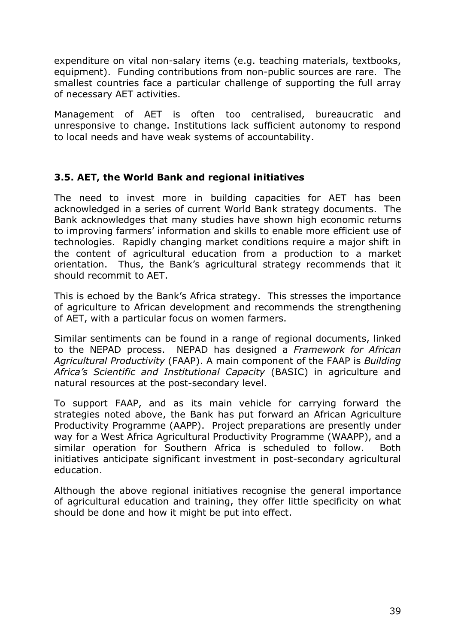expenditure on vital non-salary items (e.g. teaching materials, textbooks, equipment). Funding contributions from non-public sources are rare. The smallest countries face a particular challenge of supporting the full array of necessary AET activities.

Management of AET is often too centralised, bureaucratic and unresponsive to change. Institutions lack sufficient autonomy to respond to local needs and have weak systems of accountability.

# **3.5. AET, the World Bank and regional initiatives**

The need to invest more in building capacities for AET has been acknowledged in a series of current World Bank strategy documents. The Bank acknowledges that many studies have shown high economic returns to improving farmers' information and skills to enable more efficient use of technologies. Rapidly changing market conditions require a major shift in the content of agricultural education from a production to a market orientation. Thus, the Bank's agricultural strategy recommends that it should recommit to AET.

This is echoed by the Bank's Africa strategy. This stresses the importance of agriculture to African development and recommends the strengthening of AET, with a particular focus on women farmers.

Similar sentiments can be found in a range of regional documents, linked to the NEPAD process. NEPAD has designed a *Framework for African Agricultural Productivity* (FAAP). A main component of the FAAP is *Building Africa's Scientific and Institutional Capacity* (BASIC) in agriculture and natural resources at the post-secondary level.

To support FAAP, and as its main vehicle for carrying forward the strategies noted above, the Bank has put forward an African Agriculture Productivity Programme (AAPP). Project preparations are presently under way for a West Africa Agricultural Productivity Programme (WAAPP), and a similar operation for Southern Africa is scheduled to follow. Both initiatives anticipate significant investment in post-secondary agricultural education.

Although the above regional initiatives recognise the general importance of agricultural education and training, they offer little specificity on what should be done and how it might be put into effect.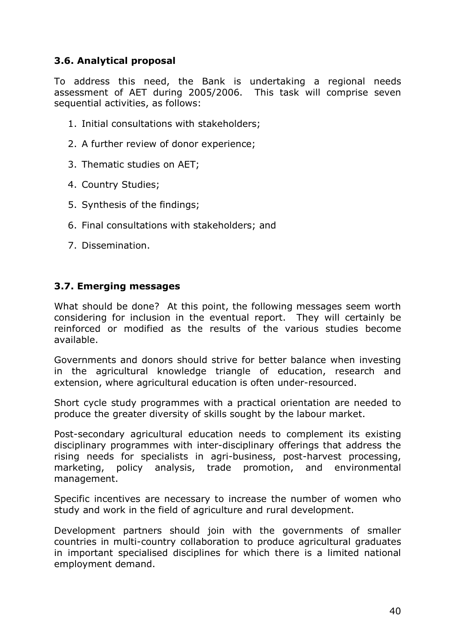# **3.6. Analytical proposal**

To address this need, the Bank is undertaking a regional needs assessment of AET during 2005/2006. This task will comprise seven sequential activities, as follows:

- 1. Initial consultations with stakeholders;
- 2. A further review of donor experience;
- 3. Thematic studies on AET;
- 4. Country Studies;
- 5. Synthesis of the findings;
- 6. Final consultations with stakeholders; and
- 7. Dissemination.

### **3.7. Emerging messages**

What should be done? At this point, the following messages seem worth considering for inclusion in the eventual report. They will certainly be reinforced or modified as the results of the various studies become available.

Governments and donors should strive for better balance when investing in the agricultural knowledge triangle of education, research and extension, where agricultural education is often under-resourced.

Short cycle study programmes with a practical orientation are needed to produce the greater diversity of skills sought by the labour market.

Post-secondary agricultural education needs to complement its existing disciplinary programmes with inter-disciplinary offerings that address the rising needs for specialists in agri-business, post-harvest processing, marketing, policy analysis, trade promotion, and environmental management.

Specific incentives are necessary to increase the number of women who study and work in the field of agriculture and rural development.

Development partners should join with the governments of smaller countries in multi-country collaboration to produce agricultural graduates in important specialised disciplines for which there is a limited national employment demand.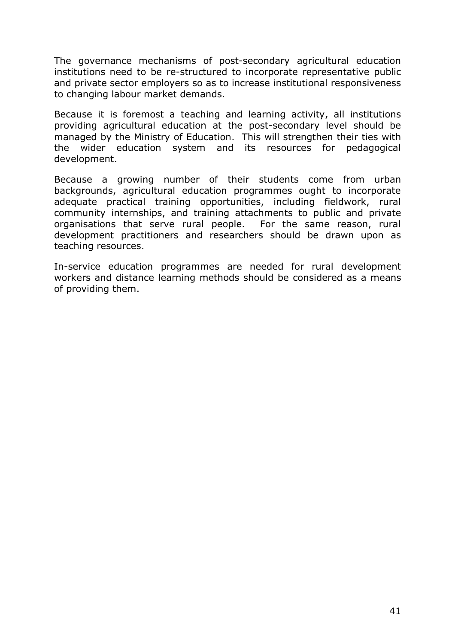The governance mechanisms of post-secondary agricultural education institutions need to be re-structured to incorporate representative public and private sector employers so as to increase institutional responsiveness to changing labour market demands.

Because it is foremost a teaching and learning activity, all institutions providing agricultural education at the post-secondary level should be managed by the Ministry of Education. This will strengthen their ties with the wider education system and its resources for pedagogical development.

Because a growing number of their students come from urban backgrounds, agricultural education programmes ought to incorporate adequate practical training opportunities, including fieldwork, rural community internships, and training attachments to public and private organisations that serve rural people. For the same reason, rural development practitioners and researchers should be drawn upon as teaching resources.

In-service education programmes are needed for rural development workers and distance learning methods should be considered as a means of providing them.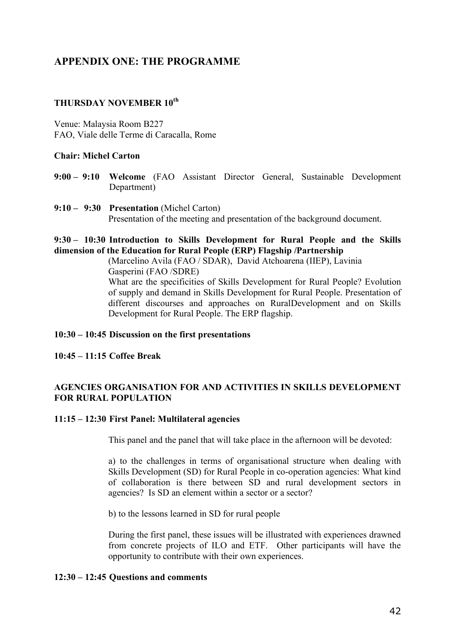# **APPENDIX ONE: THE PROGRAMME**

#### **THURSDAY NOVEMBER 10th**

Venue: Malaysia Room B227 FAO, Viale delle Terme di Caracalla, Rome

#### **Chair: Michel Carton**

- **9:00 – 9:10 Welcome** (FAO Assistant Director General, Sustainable Development Department)
- **9:10 – 9:30 Presentation** (Michel Carton) Presentation of the meeting and presentation of the background document.

#### **9:30 – 10:30 Introduction to Skills Development for Rural People and the Skills dimension of the Education for Rural People (ERP) Flagship /Partnership**

(Marcelino Avila (FAO / SDAR), David Atchoarena (IIEP), Lavinia Gasperini (FAO /SDRE) What are the specificities of Skills Development for Rural People? Evolution of supply and demand in Skills Development for Rural People. Presentation of different discourses and approaches on RuralDevelopment and on Skills Development for Rural People. The ERP flagship.

#### **10:30 – 10:45 Discussion on the first presentations**

**10:45 – 11:15 Coffee Break**

#### **AGENCIES ORGANISATION FOR AND ACTIVITIES IN SKILLS DEVELOPMENT FOR RURAL POPULATION**

#### **11:15 – 12:30 First Panel: Multilateral agencies**

This panel and the panel that will take place in the afternoon will be devoted:

a) to the challenges in terms of organisational structure when dealing with Skills Development (SD) for Rural People in co-operation agencies: What kind of collaboration is there between SD and rural development sectors in agencies? Is SD an element within a sector or a sector?

b) to the lessons learned in SD for rural people

During the first panel, these issues will be illustrated with experiences drawned from concrete projects of ILO and ETF. Other participants will have the opportunity to contribute with their own experiences.

#### **12:30 – 12:45 Questions and comments**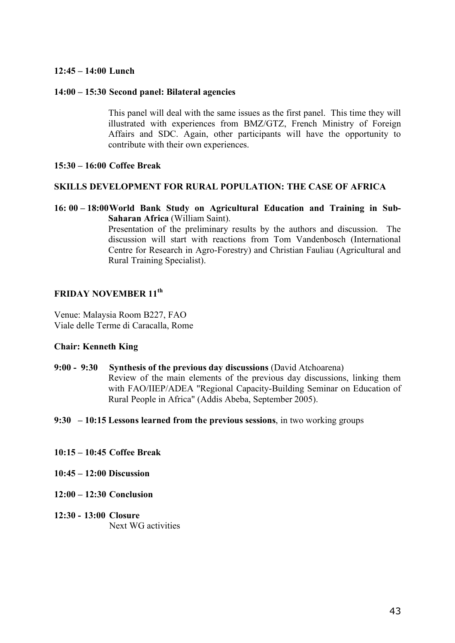#### **12:45 – 14:00 Lunch**

#### **14:00 – 15:30 Second panel: Bilateral agencies**

This panel will deal with the same issues as the first panel. This time they will illustrated with experiences from BMZ/GTZ, French Ministry of Foreign Affairs and SDC. Again, other participants will have the opportunity to contribute with their own experiences.

#### **15:30 – 16:00 Coffee Break**

#### **SKILLS DEVELOPMENT FOR RURAL POPULATION: THE CASE OF AFRICA**

**16: 00 – 18:00World Bank Study on Agricultural Education and Training in Sub-Saharan Africa** (William Saint).

Presentation of the preliminary results by the authors and discussion. The discussion will start with reactions from Tom Vandenbosch (International Centre for Research in Agro-Forestry) and Christian Fauliau (Agricultural and Rural Training Specialist).

#### **FRIDAY NOVEMBER 11th**

Venue: Malaysia Room B227, FAO Viale delle Terme di Caracalla, Rome

#### **Chair: Kenneth King**

- **9:00 - 9:30 Synthesis of the previous day discussions** (David Atchoarena) Review of the main elements of the previous day discussions, linking them with FAO/IIEP/ADEA "Regional Capacity-Building Seminar on Education of Rural People in Africa" (Addis Abeba, September 2005).
- **9:30 – 10:15 Lessons learned from the previous sessions**, in two working groups
- **10:15 – 10:45 Coffee Break**
- **10:45 – 12:00 Discussion**
- **12:00 – 12:30 Conclusion**
- **12:30 - 13:00 Closure** Next WG activities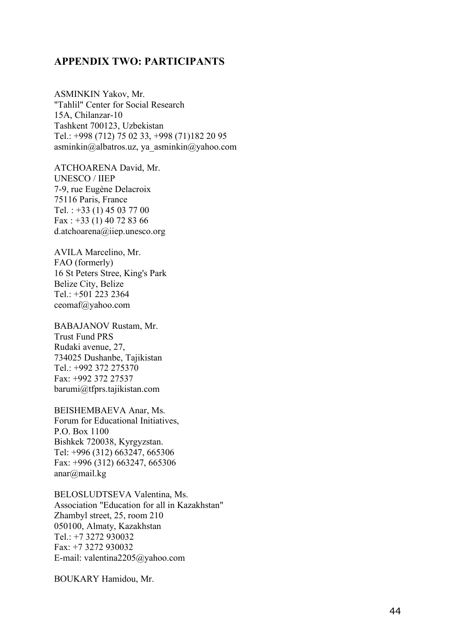#### **APPENDIX TWO: PARTICIPANTS**

ASMINKIN Yakov, Mr. "Tahlil" Center for Social Research 15A, Chilanzar-10 Tashkent 700123, Uzbekistan T e l . : +998 (712 ) 75 02 33 , +998 (71)182 20 95 asminkin@albatros.uz, ya\_asminkin@yahoo.com

ATCHOARENA David, Mr. UNESCO / IIEP 7-9, rue Eugène Delacroix 75116 Paris, France Tel.: +33 (1) 45 03 77 00 Fax: +33 (1) 40 72 83 66 d.atchoarena@iiep.unesco.org

AVILA Marcelino, Mr. FAO (formerly) 16 St Peters Stree, King's Park Belize City, Belize T e l . : +501 223 2364 c eom a f@yahoo. com

BABAJANOV Rustam, Mr. T rus t Fund P R S Rud aki avenue , 27, 734025 Dushanbe, Tajikistan T e l . : +992 372 275370 F ax: +992 372 27537 barumi@tfprs.tajikistan.com

BEISHEMBAEVA Anar, Ms. Forum for Educational Initiatives, P . O . Box 1100 B i shkek 720038, Kyrgyz s t an. T e l : +996 (312) 663247, 665306 Fax: +996 (312) 663247, 665306 anar@mail.kg

BELOSLUDTSEVA Valentina, Ms. Association "Education for all in Kazakhstan" Zhambyl street, 25, room 210 050100, Almaty, Kazakhstan T e l . : + 7 3272 930032 F ax: +7 3272 930032 E-mail: valentina2205@yahoo.com

BOUKARY Hamidou, Mr.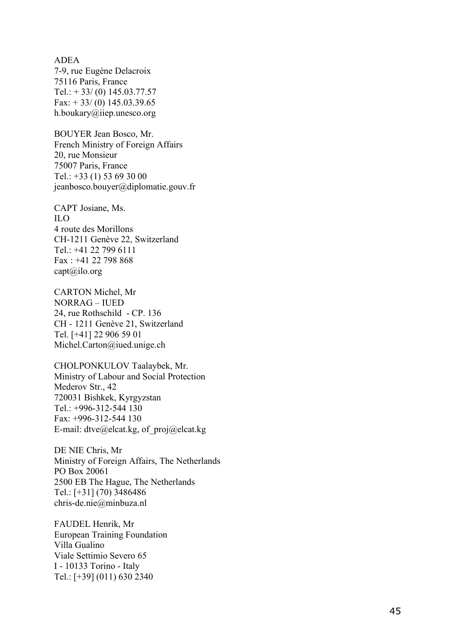**ADEA** 7-9, rue Eugène Delacroix 75116 Paris, France Tel.:  $+33/(0)$  145.03.77.57 Fax:  $+33/(0)$  145.03.39.65 h.boukary@iiep.unesco.org

BOUYER Jean Bosco, Mr. French Ministry of Foreign Affairs 20, rue Mons i eur 75007 Paris, France Tel.: +33 (1) 53 69 30 00 jeanbosco.bouyer@diplomatie.gouv.fr

CAPT Josiane, Ms. I L O 4 rout e de s Mor i l lons CH-1211 Genève 22, Switzerland T e l . : +41 22 799 6111 Fax: +41 22 798 868 capt@ilo.org

CARTON Michel, Mr N O R RA G – I U E D 24, rue Roths chi ld - C P . 136 CH - 1211 Genève 21, Switzerland T e l . [ +41] 22 906 59 01 Michel.Carton@iued.unige.ch

CHOLPONKULOV Taalaybek, Mr. Ministry of Labour and Social Protection Mederov Str., 42 720031 Bishkek, Kyrgyzstan Tel.: +996-312-544 130 Fax: +996-312-544 130 E-mail: dtve@elcat.kg, of proj@elcat.kg

DE NIE Chris, Mr Ministry of Foreign Affairs, The Netherlands P O Box 20061 2500 EB The Hague, The Netherlands T e l . : [ +31] (70) 3486486 chris-de.nie@minbuza.nl

FAUDEL Henrik, Mr European Training Foundation Villa Gualino Viale Settimio Severo 65 I - 10133 Torino - Italy T e l . : [ +39] (011) 630 2340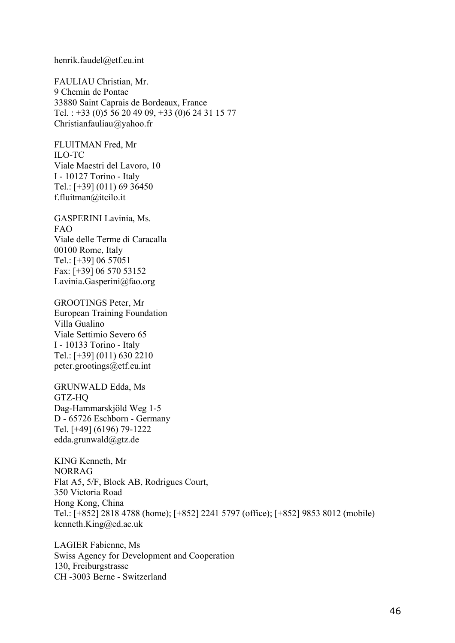#### henrik.faudel@etf.eu.int

FAULIAU Christian, Mr. 9 Chemin de Pontac 33880 Saint Caprais de Bordeaux, France Tel. : +33 (0)5 56 20 49 09, +33 (0)6 24 31 15 77 Christianfauliau@yahoo.fr

FLUITMAN Fred, Mr ILO-TC Viale Maestri del Lavoro, 10 I - 10127 Torino - Italy Tel.: [+39] (011) 69 36450 f.fluitman@itcilo.it

GASPERINI Lavinia, Ms. FAO Viale delle Terme di Caracalla 00100 Rome, Italy Tel.: [+39] 06 57051 Fax: [+39] 06 570 53152 Lavinia.Gasperini@fao.org

GROOTINGS Peter, Mr European Training Foundation Villa Gualino Viale Settimio Severo 65 I - 10133 Torino - Italy Tel.: [+39] (011) 630 2210 peter.grootings@etf.eu.int

GRUNWALD Edda, Ms GTZ-HQ Dag-Hammarskjöld Weg 1-5 D - 65726 Eschborn - Germany Tel. [+49] (6196) 79-1222 edda.grunwald@gtz.de

KING Kenneth, Mr NORRAG Flat A5, 5/F, Block AB, Rodrigues Court, 350 Victoria Road Hong Kong, China Tel.: [+852] 2818 4788 (home); [+852] 2241 5797 (office); [+852] 9853 8012 (mobile) kenneth.King@ed.ac.uk

LAGIER Fabienne, Ms Swiss Agency for Development and Cooperation 130, Freiburgstrasse CH -3003 Berne - Switzerland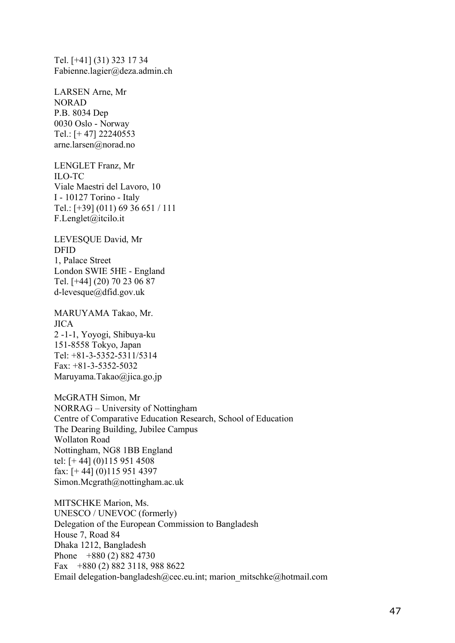Tel. [+41] (31) 323 17 34 Fabienne.lagier@deza.admin.ch

LARSEN Arne, Mr NORAD P.B. 8034 Dep 0030 Oslo - Norway Tel.: [+ 47] 22240553 arne.larsen@norad.no

LENGLET Franz, Mr ILO-TC Viale Maestri del Lavoro, 10 I - 10127 Torino - Italy Tel.: [+39] (011) 69 36 651 / 111 F.Lenglet@itcilo.it

LEVESQUE David, Mr DFID 1, Palace Street London SWIE 5HE - England Tel. [+44] (20) 70 23 06 87 d-levesque@dfid.gov.uk

MARUYAMA Takao, Mr. JICA 2 -1-1, Yoyogi, Shibuya-ku 151-8558 Tokyo, Japan Tel: +81-3-5352-5311/5314  $Fax + 81 - 3 - 5352 - 5032$ Maruyama.Takao@jica.go.jp

McGRATH Simon, Mr NORRAG – University of Nottingham Centre of Comparative Education Research, School of Education The Dearing Building, Jubilee Campus Wollaton Road Nottingham, NG8 1BB England tel: [+ 44] (0)115 951 4508 fax: [+ 44] (0)115 951 4397 Simon.Mcgrath@nottingham.ac.uk

MITSCHKE Marion, Ms. UNESCO / UNEVOC (formerly) Delegation of the European Commission to Bangladesh House 7, Road 84 Dhaka 1212, Bangladesh Phone +880 (2) 882 4730 Fax +880 (2) 882 3118, 988 8622 Email delegation-bangladesh@cec.eu.int; marion\_mitschke@hotmail.com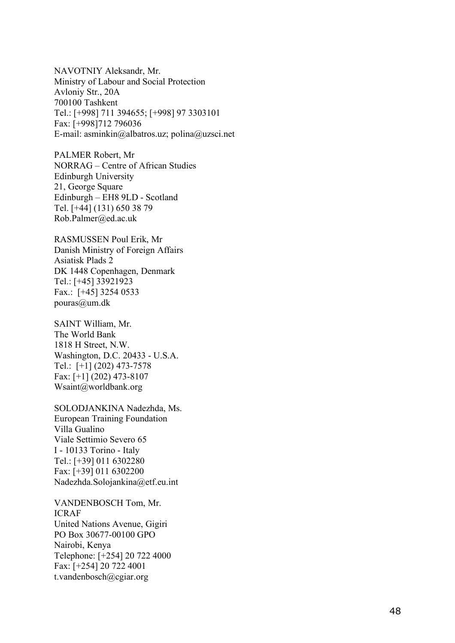NAVOTNIY Aleksandr, Mr. Ministry of Labour and Social Protection Avloniy Str., 20A 700100 T a shkent T e l . : [ +998] 711 394655; [ +998] 97 3303101 F ax: [ + 998]712 796036 E-mail: asminkin@albatros.uz; polina@uzsci.net

PALMER Robert, Mr NORRAG - Centre of African Studies Edinburgh University 21, George Square Edinburgh - EH8 9LD - Scotland T e l . [ +44] (131) 650 38 79 Rob.Palmer@ed.ac.uk

RASMUSSEN Poul Erik, Mr Danish Ministry of Foreign Affairs Asiatisk Plads 2 DK 1448 Copenhagen, Denmark T e l . : [ +45] 33921923 Fax.: [+45] 3254 0533 pouras@um.dk

SAINT William, Mr. The Wor l d B ank 1818 H Street, N.W. Washington, D.C. 20433 - U.S.A. Tel.: [+1] (202) 473-7578 Fax: [+1] (202) 473-8107 Wsaint@worldbank.org

SOLODJANKINA Nadezhda, Ms. European Training Foundation Villa Gualino Viale Settimio Severo 65 I - 10133 Torino - Italy T e l . : [ +39] 011 6302280 F ax: [ +39] 011 6302200 Nadezhda. Solojankina@etf.eu.int

VANDENBOSCH Tom, Mr. I C RA F United Nations Avenue, Gigiri PO Box 30677-00100 GPO Nairobi, Kenya T e l ephon e : [ +254] 20 722 4000 F ax: [ +254] 20 722 4001 t.vandenbosch@cgiar.org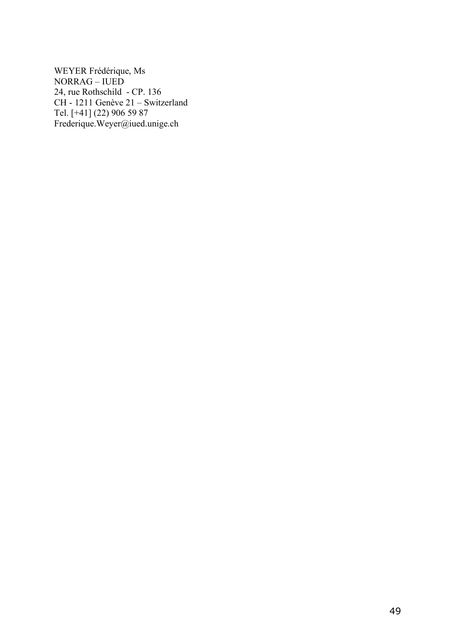WEYER Frédérique, Ms NORRAG – IUED 24, rue Rothschild - CP. 136 CH - 1211 Genève 21 – Switzerland Tel. [+41] (22) 906 59 87 Frederique.Weyer@iued.unige.ch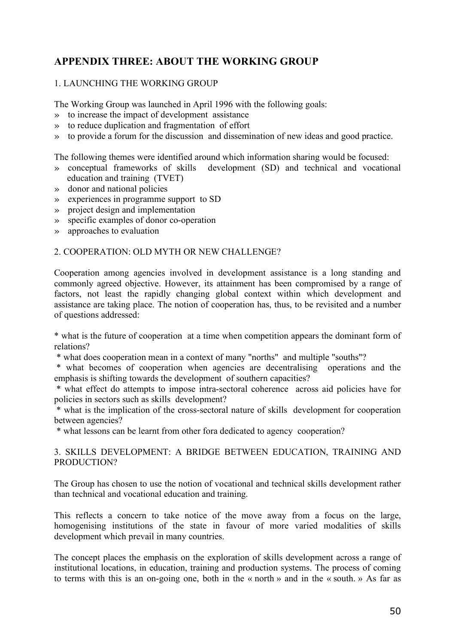# **APPENDIX THREE: ABOUT THE WORKING GROUP**

#### 1. LAUNCHING THE WORKING GROUP

The Working Group was launched in April 1996 with the following goals:

- » to increase the impact of development assistance
- » to reduce duplication and fragmentation of effort
- » to provide a forum for the discussion and dissemination of new ideas and good practice.

The following themes were identified around which information sharing would be focused:

- » conceptual frameworks of skills development (SD) and technical and vocational education and training (TVET)
- » donor and national policies
- » experiences in programme support to SD
- » project design and implementation
- » specific examples of donor co-operation
- » approaches to evaluation

#### 2. COOPERATION: OLD MYTH OR NEW CHALLENGE?

Cooperation among agencies involved in development assistance is a long standing and commonly agreed objective. However, its attainment has been compromised by a range of factors, not least the rapidly changing global context within which development and assistance are taking place. The notion of cooperation has, thus, to be revisited and a number of questions addressed:

\* what is the future of cooperation at a time when competition appears the dominant form of relations?

\* what does cooperation mean in a context of many "norths" and multiple "souths"?

\* what becomes of cooperation when agencies are decentralising operations and the emphasis is shifting towards the development of southern capacities?

\* what effect do attempts to impose intra-sectoral coherence across aid policies have for policies in sectors such as skills development?

\* what is the implication of the cross-sectoral nature of skills development for cooperation between agencies?

\* what lessons can be learnt from other fora dedicated to agency cooperation?

#### 3. SKILLS DEVELOPMENT: A BRIDGE BETWEEN EDUCATION, TRAINING AND PRODUCTION?

The Group has chosen to use the notion of vocational and technical skills development rather than technical and vocational education and training.

This reflects a concern to take notice of the move away from a focus on the large, homogenising institutions of the state in favour of more varied modalities of skills development which prevail in many countries.

The concept places the emphasis on the exploration of skills development across a range of institutional locations, in education, training and production systems. The process of coming to terms with this is an on-going one, both in the « north » and in the « south. » As far as